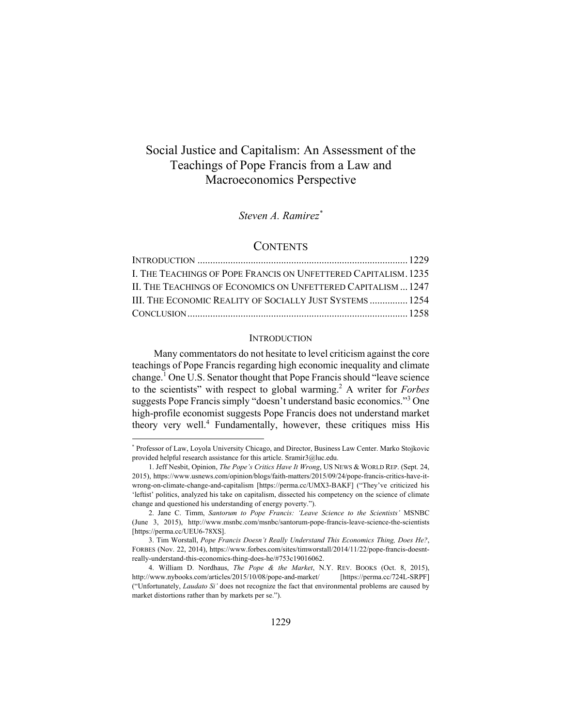# Social Justice and Capitalism: An Assessment of the Teachings of Pope Francis from a Law and Macroeconomics Perspective

## *Steven A. Ramirez\**

#### **CONTENTS**

| I. THE TEACHINGS OF POPE FRANCIS ON UNFETTERED CAPITALISM. 1235 |  |
|-----------------------------------------------------------------|--|
| IL THE TEACHINGS OF ECONOMICS ON UNFETTERED CAPITALISM  1247    |  |
| III. THE ECONOMIC REALITY OF SOCIALLY JUST SYSTEMS  1254        |  |
|                                                                 |  |

#### **INTRODUCTION**

Many commentators do not hesitate to level criticism against the core teachings of Pope Francis regarding high economic inequality and climate change.<sup>1</sup> One U.S. Senator thought that Pope Francis should "leave science" to the scientists" with respect to global warming.2 A writer for *Forbes* suggests Pope Francis simply "doesn't understand basic economics."<sup>3</sup> One high-profile economist suggests Pope Francis does not understand market theory very well.<sup>4</sup> Fundamentally, however, these critiques miss His

<sup>\*</sup> Professor of Law, Loyola University Chicago, and Director, Business Law Center. Marko Stojkovic provided helpful research assistance for this article. Sramir3@luc.edu.

 <sup>1.</sup> Jeff Nesbit, Opinion, *The Pope's Critics Have It Wrong*, US NEWS & WORLD REP. (Sept. 24, 2015), https://www.usnews.com/opinion/blogs/faith-matters/2015/09/24/pope-francis-critics-have-itwrong-on-climate-change-and-capitalism [https://perma.cc/UMX3-BAKF] ("They've criticized his 'leftist' politics, analyzed his take on capitalism, dissected his competency on the science of climate change and questioned his understanding of energy poverty.").

 <sup>2.</sup> Jane C. Timm, *Santorum to Pope Francis: 'Leave Science to the Scientists'* MSNBC (June 3, 2015), http://www.msnbc.com/msnbc/santorum-pope-francis-leave-science-the-scientists [https://perma.cc/UEU6-78XS].

 <sup>3.</sup> Tim Worstall, *Pope Francis Doesn't Really Understand This Economics Thing, Does He?*, FORBES (Nov. 22, 2014), https://www.forbes.com/sites/timworstall/2014/11/22/pope-francis-doesntreally-understand-this-economics-thing-does-he/#753c19016062.

 <sup>4.</sup> William D. Nordhaus, *The Pope & the Market*, N.Y. REV. BOOKS (Oct. 8, 2015), http://www.nybooks.com/articles/2015/10/08/pope-and-market/ [https://perma.cc/724L-SRPF] ("Unfortunately, *Laudato Si'* does not recognize the fact that environmental problems are caused by market distortions rather than by markets per se.").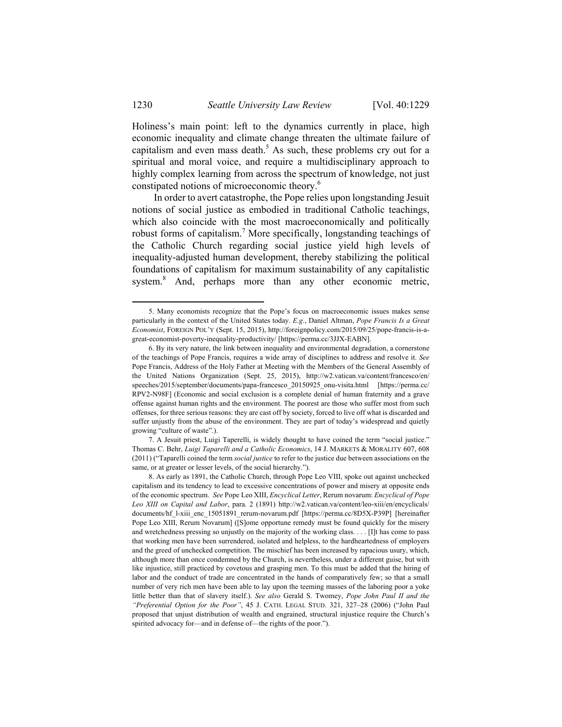Holiness's main point: left to the dynamics currently in place, high economic inequality and climate change threaten the ultimate failure of capitalism and even mass death.<sup>5</sup> As such, these problems cry out for a spiritual and moral voice, and require a multidisciplinary approach to highly complex learning from across the spectrum of knowledge, not just constipated notions of microeconomic theory.6

In order to avert catastrophe, the Pope relies upon longstanding Jesuit notions of social justice as embodied in traditional Catholic teachings, which also coincide with the most macroeconomically and politically robust forms of capitalism.<sup>7</sup> More specifically, longstanding teachings of the Catholic Church regarding social justice yield high levels of inequality-adjusted human development, thereby stabilizing the political foundations of capitalism for maximum sustainability of any capitalistic system.<sup>8</sup> And, perhaps more than any other economic metric,

 <sup>5.</sup> Many economists recognize that the Pope's focus on macroeconomic issues makes sense particularly in the context of the United States today. *E.g.*, Daniel Altman, *Pope Francis Is a Great Economist*, FOREIGN POL'Y (Sept. 15, 2015), http://foreignpolicy.com/2015/09/25/pope-francis-is-agreat-economist-poverty-inequality-productivity/ [https://perma.cc/3JJX-EABN].

 <sup>6.</sup> By its very nature, the link between inequality and environmental degradation, a cornerstone of the teachings of Pope Francis, requires a wide array of disciplines to address and resolve it. *See*  Pope Francis, Address of the Holy Father at Meeting with the Members of the General Assembly of the United Nations Organization (Sept. 25, 2015), http://w2.vatican.va/content/francesco/en/ speeches/2015/september/documents/papa-francesco\_20150925\_onu-visita.html [https://perma.cc/ RPV2-N98F] (Economic and social exclusion is a complete denial of human fraternity and a grave offense against human rights and the environment. The poorest are those who suffer most from such offenses, for three serious reasons: they are cast off by society, forced to live off what is discarded and suffer unjustly from the abuse of the environment. They are part of today's widespread and quietly growing "culture of waste".).

 <sup>7.</sup> A Jesuit priest, Luigi Taperelli, is widely thought to have coined the term "social justice." Thomas C. Behr, *Luigi Taparelli and a Catholic Economics*, 14 J. MARKETS & MORALITY 607, 608 (2011) ("Taparelli coined the term *social justice* to refer to the justice due between associations on the same, or at greater or lesser levels, of the social hierarchy.").

 <sup>8.</sup> As early as 1891, the Catholic Church, through Pope Leo VIII, spoke out against unchecked capitalism and its tendency to lead to excessive concentrations of power and misery at opposite ends of the economic spectrum. *See* Pope Leo XIII, *Encyclical Letter*, Rerum novarum: *Encyclical of Pope Leo XIII on Capital and Labor*, para. 2 (1891) http://w2.vatican.va/content/leo-xiii/en/encyclicals/ documents/hf 1-xiii\_enc\_15051891\_rerum-novarum.pdf [https://perma.cc/8D5X-P39P] [hereinafter Pope Leo XIII, Rerum Novarum] ([S]ome opportune remedy must be found quickly for the misery and wretchedness pressing so unjustly on the majority of the working class. . . . [I]t has come to pass that working men have been surrendered, isolated and helpless, to the hardheartedness of employers and the greed of unchecked competition. The mischief has been increased by rapacious usury, which, although more than once condemned by the Church, is nevertheless, under a different guise, but with like injustice, still practiced by covetous and grasping men. To this must be added that the hiring of labor and the conduct of trade are concentrated in the hands of comparatively few; so that a small number of very rich men have been able to lay upon the teeming masses of the laboring poor a yoke little better than that of slavery itself.). *See also* Gerald S. Twomey, *Pope John Paul II and the "Preferential Option for the Poor"*, 45 J. CATH. LEGAL STUD. 321, 327–28 (2006) ("John Paul proposed that unjust distribution of wealth and engrained, structural injustice require the Church's spirited advocacy for—and in defense of—the rights of the poor.").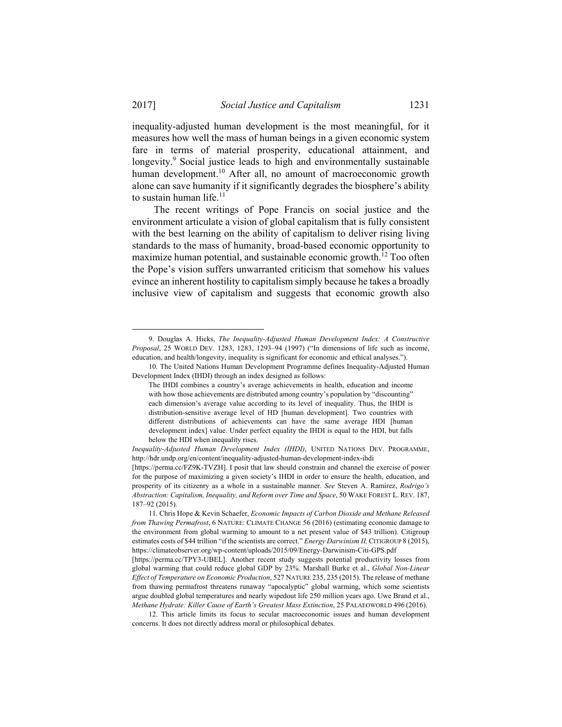inequality-adjusted human development is the most meaningful, for it measures how well the mass of human beings in a given economic system fare in terms of material prosperity, educational attainment, and longevity.<sup>9</sup> Social justice leads to high and environmentally sustainable human development.<sup>10</sup> After all, no amount of macroeconomic growth alone can save humanity if it significantly degrades the biosphere's ability to sustain human life. $11$ 

The recent writings of Pope Francis on social justice and the environment articulate a vision of global capitalism that is fully consistent with the best learning on the ability of capitalism to deliver rising living standards to the mass of humanity, broad-based economic opportunity to maximize human potential, and sustainable economic growth.<sup>12</sup> Too often the Pope's vision suffers unwarranted criticism that somehow his values evince an inherent hostility to capitalism simply because he takes a broadly inclusive view of capitalism and suggests that economic growth also

 <sup>9.</sup> Douglas A. Hicks, *The Inequality-Adjusted Human Development Index: A Constructive Proposal*, 25 WORLD DEV. 1283, 1283, 1293–94 (1997) ("In dimensions of life such as income, education, and health/longevity, inequality is significant for economic and ethical analyses.").

 <sup>10.</sup> The United Nations Human Development Programme defines Inequality-Adjusted Human Development Index (IHDI) through an index designed as follows:

The IHDI combines a country's average achievements in health, education and income with how those achievements are distributed among country's population by "discounting" each dimension's average value according to its level of inequality. Thus, the IHDI is distribution-sensitive average level of HD [human development]. Two countries with different distributions of achievements can have the same average HDI [human development index] value. Under perfect equality the IHDI is equal to the HDI, but falls below the HDI when inequality rises.

*Inequality-Adjusted Human Development Index (IHDI)*, UNITED NATIONS DEV. PROGRAMME, http://hdr.undp.org/en/content/inequality-adjusted-human-development-index-ihdi

<sup>[</sup>https://perma.cc/FZ9K-TVZH]. I posit that law should constrain and channel the exercise of power for the purpose of maximizing a given society's IHDI in order to ensure the health, education, and prosperity of its citizenry as a whole in a sustainable manner. *See* Steven A. Ramirez, *Rodrigo's Abstraction: Capitalism, Inequality, and Reform over Time and Space*, 50 WAKE FOREST L. REV. 187, 187–92 (2015).

 <sup>11.</sup> Chris Hope & Kevin Schaefer, *Economic Impacts of Carbon Dioxide and Methane Released from Thawing Permafrost*, 6 NATURE: CLIMATE CHANGE 56 (2016) (estimating economic damage to the environment from global warming to amount to a net present value of \$43 trillion). Citigroup estimates costs of \$44 trillion "if the scientists are correct." *Energy Darwinism II,* CITIGROUP 8 (2015), https://climateobserver.org/wp-content/uploads/2015/09/Energy-Darwinism-Citi-GPS.pdf

<sup>[</sup>https://perma.cc/TPY3-UBEL]. Another recent study suggests potential productivity losses from global warming that could reduce global GDP by 23%. Marshall Burke et al., *Global Non-Linear Effect of Temperature on Economic Production*, 527 NATURE 235, 235 (2015). The release of methane from thawing permafrost threatens runaway "apocalyptic" global warming, which some scientists argue doubled global temperatures and nearly wipedout life 250 million years ago. Uwe Brand et al., *Methane Hydrate: Killer Cause of Earth's Greatest Mass Extinction*, 25 PALAEOWORLD 496 (2016).

 <sup>12.</sup> This article limits its focus to secular macroeconomic issues and human development concerns. It does not directly address moral or philosophical debates.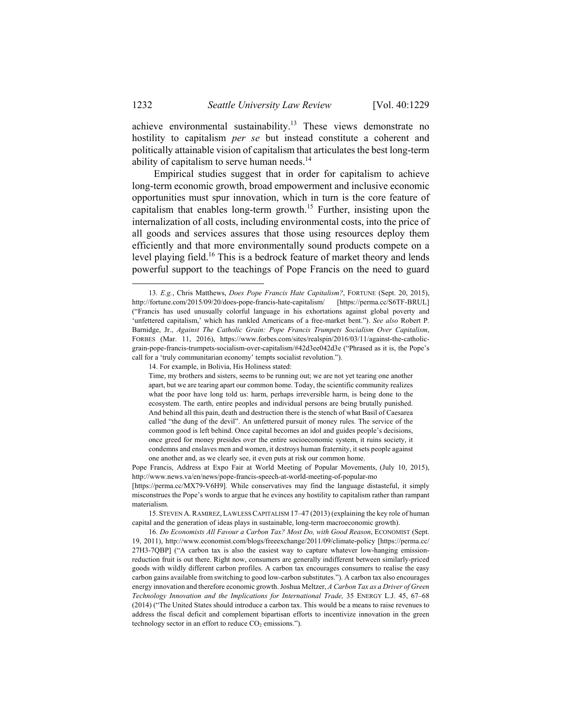achieve environmental sustainability.<sup>13</sup> These views demonstrate no hostility to capitalism *per se* but instead constitute a coherent and politically attainable vision of capitalism that articulates the best long-term ability of capitalism to serve human needs. $14$ 

Empirical studies suggest that in order for capitalism to achieve long-term economic growth, broad empowerment and inclusive economic opportunities must spur innovation, which in turn is the core feature of capitalism that enables long-term growth.<sup>15</sup> Further, insisting upon the internalization of all costs, including environmental costs, into the price of all goods and services assures that those using resources deploy them efficiently and that more environmentally sound products compete on a level playing field.<sup>16</sup> This is a bedrock feature of market theory and lends powerful support to the teachings of Pope Francis on the need to guard

14. For example, in Bolivia, His Holiness stated:

 <sup>13</sup>*. E.g.*, Chris Matthews, *Does Pope Francis Hate Capitalism?*, FORTUNE (Sept. 20, 2015), http://fortune.com/2015/09/20/does-pope-francis-hate-capitalism/ [https://perma.cc/S6TF-BRUL] ("Francis has used unusually colorful language in his exhortations against global poverty and 'unfettered capitalism,' which has rankled Americans of a free-market bent."). *See also* Robert P. Barnidge, Jr., *Against The Catholic Grain: Pope Francis Trumpets Socialism Over Capitalism*, FORBES (Mar. 11, 2016), https://www.forbes.com/sites/realspin/2016/03/11/against-the-catholicgrain-pope-francis-trumpets-socialism-over-capitalism/#42d3ee042d3e ("Phrased as it is, the Pope's call for a 'truly communitarian economy' tempts socialist revolution.").

Time, my brothers and sisters, seems to be running out; we are not yet tearing one another apart, but we are tearing apart our common home. Today, the scientific community realizes what the poor have long told us: harm, perhaps irreversible harm, is being done to the ecosystem. The earth, entire peoples and individual persons are being brutally punished. And behind all this pain, death and destruction there is the stench of what Basil of Caesarea called "the dung of the devil". An unfettered pursuit of money rules. The service of the common good is left behind. Once capital becomes an idol and guides people's decisions, once greed for money presides over the entire socioeconomic system, it ruins society, it condemns and enslaves men and women, it destroys human fraternity, it sets people against one another and, as we clearly see, it even puts at risk our common home.

Pope Francis, Address at Expo Fair at World Meeting of Popular Movements, (July 10, 2015), http://www.news.va/en/news/pope-francis-speech-at-world-meeting-of-popular-mo [https://perma.cc/MX79-V6H9]. While conservatives may find the language distasteful, it simply misconstrues the Pope's words to argue that he evinces any hostility to capitalism rather than rampant materialism.

 <sup>15.</sup> STEVEN A.RAMIREZ, LAWLESS CAPITALISM 17–47 (2013) (explaining the key role of human capital and the generation of ideas plays in sustainable, long-term macroeconomic growth).

<sup>16</sup>*. Do Economists All Favour a Carbon Tax? Most Do, with Good Reason*, ECONOMIST (Sept. 19, 2011), http://www.economist.com/blogs/freeexchange/2011/09/climate-policy [https://perma.cc/ 27H3-7QBP] ("A carbon tax is also the easiest way to capture whatever low-hanging emissionreduction fruit is out there. Right now, consumers are generally indifferent between similarly-priced goods with wildly different carbon profiles. A carbon tax encourages consumers to realise the easy carbon gains available from switching to good low-carbon substitutes."). A carbon tax also encourages energy innovation and therefore economic growth. Joshua Meltzer, *A Carbon Tax as a Driver of Green Technology Innovation and the Implications for International Trade,* 35 ENERGY L.J. 45, 67–68 (2014) ("The United States should introduce a carbon tax. This would be a means to raise revenues to address the fiscal deficit and complement bipartisan efforts to incentivize innovation in the green technology sector in an effort to reduce  $CO<sub>2</sub>$  emissions.").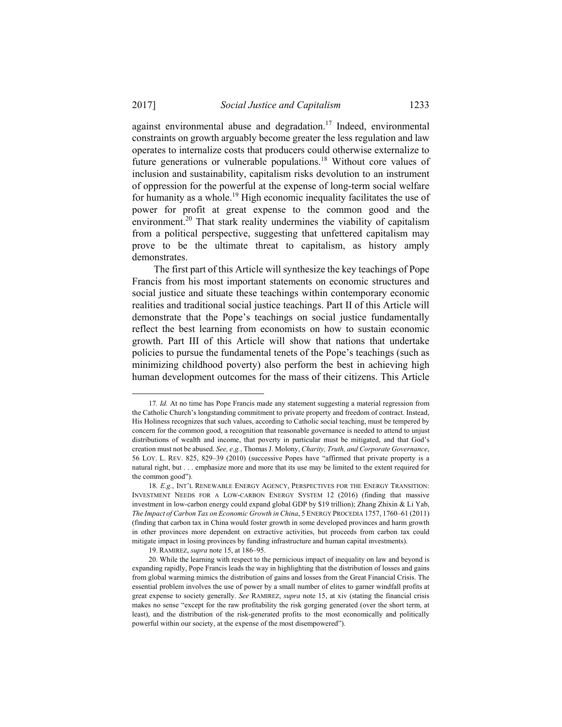against environmental abuse and degradation.<sup>17</sup> Indeed, environmental constraints on growth arguably become greater the less regulation and law operates to internalize costs that producers could otherwise externalize to future generations or vulnerable populations.<sup>18</sup> Without core values of inclusion and sustainability, capitalism risks devolution to an instrument of oppression for the powerful at the expense of long-term social welfare for humanity as a whole.<sup>19</sup> High economic inequality facilitates the use of power for profit at great expense to the common good and the environment.<sup>20</sup> That stark reality undermines the viability of capitalism from a political perspective, suggesting that unfettered capitalism may prove to be the ultimate threat to capitalism, as history amply demonstrates.

The first part of this Article will synthesize the key teachings of Pope Francis from his most important statements on economic structures and social justice and situate these teachings within contemporary economic realities and traditional social justice teachings. Part II of this Article will demonstrate that the Pope's teachings on social justice fundamentally reflect the best learning from economists on how to sustain economic growth. Part III of this Article will show that nations that undertake policies to pursue the fundamental tenets of the Pope's teachings (such as minimizing childhood poverty) also perform the best in achieving high human development outcomes for the mass of their citizens. This Article

<sup>17</sup>*. Id.* At no time has Pope Francis made any statement suggesting a material regression from the Catholic Church's longstanding commitment to private property and freedom of contract. Instead, His Holiness recognizes that such values, according to Catholic social teaching, must be tempered by concern for the common good, a recognition that reasonable governance is needed to attend to unjust distributions of wealth and income, that poverty in particular must be mitigated, and that God's creation must not be abused. *See, e.g.*, Thomas J. Molony, *Charity, Truth, and Corporate Governance*, 56 LOY. L. REV. 825, 829–39 (2010) (successive Popes have "affirmed that private property is a natural right, but . . . emphasize more and more that its use may be limited to the extent required for the common good").

<sup>18</sup>*. E.g.*, INT'L RENEWABLE ENERGY AGENCY, PERSPECTIVES FOR THE ENERGY TRANSITION: INVESTMENT NEEDS FOR A LOW-CARBON ENERGY SYSTEM 12 (2016) (finding that massive investment in low-carbon energy could expand global GDP by \$19 trillion); Zhang Zhixin & Li Yab, *The Impact of Carbon Tax on Economic Growth in China*, 5 ENERGY PROCEDIA 1757, 1760–61 (2011) (finding that carbon tax in China would foster growth in some developed provinces and harm growth in other provinces more dependent on extractive activities, but proceeds from carbon tax could mitigate impact in losing provinces by funding infrastructure and human capital investments).

 <sup>19.</sup> RAMIREZ, *supra* note 15, at 186–95.

 <sup>20.</sup> While the learning with respect to the pernicious impact of inequality on law and beyond is expanding rapidly, Pope Francis leads the way in highlighting that the distribution of losses and gains from global warming mimics the distribution of gains and losses from the Great Financial Crisis. The essential problem involves the use of power by a small number of elites to garner windfall profits at great expense to society generally. *See* RAMIREZ, *supra* note 15, at xiv (stating the financial crisis makes no sense "except for the raw profitability the risk gorging generated (over the short term, at least), and the distribution of the risk-generated profits to the most economically and politically powerful within our society, at the expense of the most disempowered").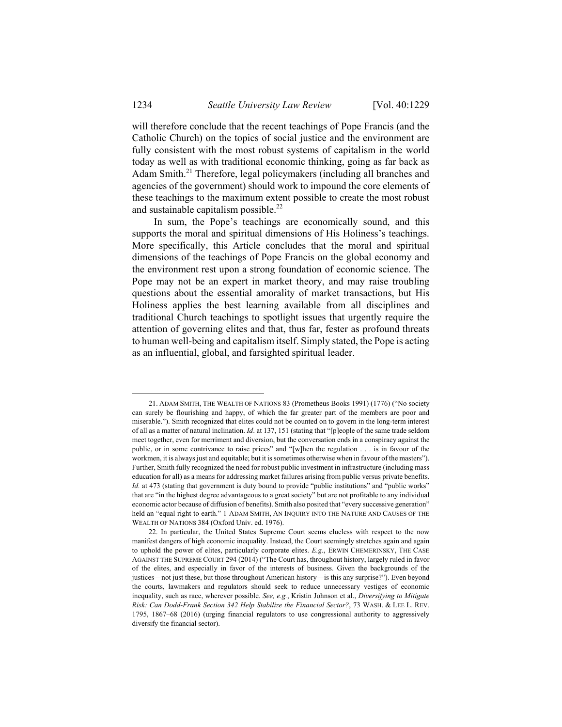will therefore conclude that the recent teachings of Pope Francis (and the Catholic Church) on the topics of social justice and the environment are fully consistent with the most robust systems of capitalism in the world today as well as with traditional economic thinking, going as far back as Adam Smith.<sup>21</sup> Therefore, legal policymakers (including all branches and agencies of the government) should work to impound the core elements of these teachings to the maximum extent possible to create the most robust and sustainable capitalism possible. $^{22}$ 

In sum, the Pope's teachings are economically sound, and this supports the moral and spiritual dimensions of His Holiness's teachings. More specifically, this Article concludes that the moral and spiritual dimensions of the teachings of Pope Francis on the global economy and the environment rest upon a strong foundation of economic science. The Pope may not be an expert in market theory, and may raise troubling questions about the essential amorality of market transactions, but His Holiness applies the best learning available from all disciplines and traditional Church teachings to spotlight issues that urgently require the attention of governing elites and that, thus far, fester as profound threats to human well-being and capitalism itself. Simply stated, the Pope is acting as an influential, global, and farsighted spiritual leader.

 <sup>21.</sup> ADAM SMITH, THE WEALTH OF NATIONS 83 (Prometheus Books 1991) (1776) ("No society can surely be flourishing and happy, of which the far greater part of the members are poor and miserable."). Smith recognized that elites could not be counted on to govern in the long-term interest of all as a matter of natural inclination. *Id*. at 137, 151 (stating that "[p]eople of the same trade seldom meet together, even for merriment and diversion, but the conversation ends in a conspiracy against the public, or in some contrivance to raise prices" and "[w]hen the regulation . . . is in favour of the workmen, it is always just and equitable; but it is sometimes otherwise when in favour of the masters"). Further, Smith fully recognized the need for robust public investment in infrastructure (including mass education for all) as a means for addressing market failures arising from public versus private benefits. *Id.* at 473 (stating that government is duty bound to provide "public institutions" and "public works" that are "in the highest degree advantageous to a great society" but are not profitable to any individual economic actor because of diffusion of benefits). Smith also posited that "every successive generation" held an "equal right to earth." 1 ADAM SMITH, AN INQUIRY INTO THE NATURE AND CAUSES OF THE WEALTH OF NATIONS 384 (Oxford Univ. ed. 1976).

 <sup>22.</sup> In particular, the United States Supreme Court seems clueless with respect to the now manifest dangers of high economic inequality. Instead, the Court seemingly stretches again and again to uphold the power of elites, particularly corporate elites. *E.g.*, ERWIN CHEMERINSKY, THE CASE AGAINST THE SUPREME COURT 294 (2014) ("The Court has, throughout history, largely ruled in favor of the elites, and especially in favor of the interests of business. Given the backgrounds of the justices—not just these, but those throughout American history—is this any surprise?"). Even beyond the courts, lawmakers and regulators should seek to reduce unnecessary vestiges of economic inequality, such as race, wherever possible. *See, e.g.*, Kristin Johnson et al., *Diversifying to Mitigate Risk: Can Dodd-Frank Section 342 Help Stabilize the Financial Sector?*, 73 WASH. & LEE L. REV. 1795, 1867–68 (2016) (urging financial regulators to use congressional authority to aggressively diversify the financial sector).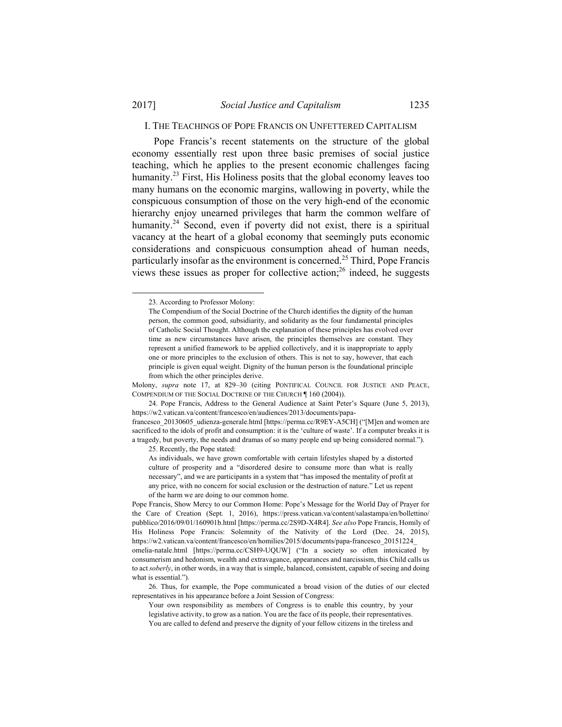1

## I. THE TEACHINGS OF POPE FRANCIS ON UNFETTERED CAPITALISM

Pope Francis's recent statements on the structure of the global economy essentially rest upon three basic premises of social justice teaching, which he applies to the present economic challenges facing humanity.<sup>23</sup> First, His Holiness posits that the global economy leaves too many humans on the economic margins, wallowing in poverty, while the conspicuous consumption of those on the very high-end of the economic hierarchy enjoy unearned privileges that harm the common welfare of humanity.<sup>24</sup> Second, even if poverty did not exist, there is a spiritual vacancy at the heart of a global economy that seemingly puts economic considerations and conspicuous consumption ahead of human needs, particularly insofar as the environment is concerned.25 Third, Pope Francis views these issues as proper for collective action; $^{26}$  indeed, he suggests

Molony, *supra* note 17, at 829–30 (citing PONTIFICAL COUNCIL FOR JUSTICE AND PEACE, COMPENDIUM OF THE SOCIAL DOCTRINE OF THE CHURCH ¶ 160 (2004)).

 24. Pope Francis, Address to the General Audience at Saint Peter's Square (June 5, 2013), https://w2.vatican.va/content/francesco/en/audiences/2013/documents/papa-

francesco 20130605 udienza-generale.html [https://perma.cc/R9EY-A5CH] ("[M]en and women are sacrificed to the idols of profit and consumption: it is the 'culture of waste'. If a computer breaks it is a tragedy, but poverty, the needs and dramas of so many people end up being considered normal."). 25. Recently, the Pope stated:

As individuals, we have grown comfortable with certain lifestyles shaped by a distorted culture of prosperity and a "disordered desire to consume more than what is really necessary", and we are participants in a system that "has imposed the mentality of profit at any price, with no concern for social exclusion or the destruction of nature." Let us repent of the harm we are doing to our common home.

Pope Francis, Show Mercy to our Common Home: Pope's Message for the World Day of Prayer for the Care of Creation (Sept. 1, 2016), https://press.vatican.va/content/salastampa/en/bollettino/ pubblico/2016/09/01/160901b.html [https://perma.cc/2S9D-X4R4]. *See also* Pope Francis, Homily of His Holiness Pope Francis: Solemnity of the Nativity of the Lord (Dec. 24, 2015), https://w2.vatican.va/content/francesco/en/homilies/2015/documents/papa-francesco\_20151224\_ omelia-natale.html [https://perma.cc/CSH9-UQUW] ("In a society so often intoxicated by consumerism and hedonism, wealth and extravagance, appearances and narcissism, this Child calls us to act *soberly*, in other words, in a way that is simple, balanced, consistent, capable of seeing and doing what is essential.").

 26. Thus, for example, the Pope communicated a broad vision of the duties of our elected representatives in his appearance before a Joint Session of Congress:

Your own responsibility as members of Congress is to enable this country, by your legislative activity, to grow as a nation. You are the face of its people, their representatives. You are called to defend and preserve the dignity of your fellow citizens in the tireless and

 <sup>23.</sup> According to Professor Molony:

The Compendium of the Social Doctrine of the Church identifies the dignity of the human person, the common good, subsidiarity, and solidarity as the four fundamental principles of Catholic Social Thought. Although the explanation of these principles has evolved over time as new circumstances have arisen, the principles themselves are constant. They represent a unified framework to be applied collectively, and it is inappropriate to apply one or more principles to the exclusion of others. This is not to say, however, that each principle is given equal weight. Dignity of the human person is the foundational principle from which the other principles derive.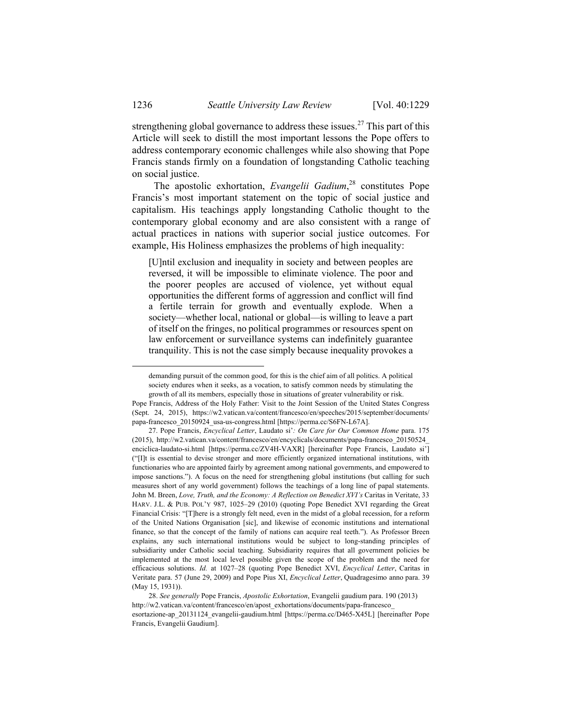strengthening global governance to address these issues.<sup>27</sup> This part of this Article will seek to distill the most important lessons the Pope offers to address contemporary economic challenges while also showing that Pope Francis stands firmly on a foundation of longstanding Catholic teaching on social justice.

The apostolic exhortation, *Evangelii Gadium*, 28 constitutes Pope Francis's most important statement on the topic of social justice and capitalism. His teachings apply longstanding Catholic thought to the contemporary global economy and are also consistent with a range of actual practices in nations with superior social justice outcomes. For example, His Holiness emphasizes the problems of high inequality:

[U]ntil exclusion and inequality in society and between peoples are reversed, it will be impossible to eliminate violence. The poor and the poorer peoples are accused of violence, yet without equal opportunities the different forms of aggression and conflict will find a fertile terrain for growth and eventually explode. When a society—whether local, national or global—is willing to leave a part of itself on the fringes, no political programmes or resources spent on law enforcement or surveillance systems can indefinitely guarantee tranquility. This is not the case simply because inequality provokes a

demanding pursuit of the common good, for this is the chief aim of all politics. A political society endures when it seeks, as a vocation, to satisfy common needs by stimulating the growth of all its members, especially those in situations of greater vulnerability or risk.

Pope Francis, Address of the Holy Father: Visit to the Joint Session of the United States Congress (Sept. 24, 2015), https://w2.vatican.va/content/francesco/en/speeches/2015/september/documents/ papa-francesco\_20150924\_usa-us-congress.html [https://perma.cc/S6FN-L67A].

 <sup>27.</sup> Pope Francis, *Encyclical Letter*, Laudato si'*: On Care for Our Common Home* para. 175 (2015), http://w2.vatican.va/content/francesco/en/encyclicals/documents/papa-francesco\_20150524\_ enciclica-laudato-si.html [https://perma.cc/ZV4H-VAXR] [hereinafter Pope Francis, Laudato si'] ("[I]t is essential to devise stronger and more efficiently organized international institutions, with functionaries who are appointed fairly by agreement among national governments, and empowered to impose sanctions."). A focus on the need for strengthening global institutions (but calling for such measures short of any world government) follows the teachings of a long line of papal statements. John M. Breen, *Love, Truth, and the Economy: A Reflection on Benedict XVI's* Caritas in Veritate, 33 HARV. J.L. & PUB. POL'Y 987, 1025–29 (2010) (quoting Pope Benedict XVI regarding the Great Financial Crisis: "[T]here is a strongly felt need, even in the midst of a global recession, for a reform of the United Nations Organisation [sic], and likewise of economic institutions and international finance, so that the concept of the family of nations can acquire real teeth."). As Professor Breen explains, any such international institutions would be subject to long-standing principles of subsidiarity under Catholic social teaching. Subsidiarity requires that all government policies be implemented at the most local level possible given the scope of the problem and the need for efficacious solutions. *Id.* at 1027–28 (quoting Pope Benedict XVI, *Encyclical Letter*, Caritas in Veritate para. 57 (June 29, 2009) and Pope Pius XI, *Encyclical Letter*, Quadragesimo anno para. 39 (May 15, 1931)).

 <sup>28.</sup> *See generally* Pope Francis, *Apostolic Exhortation*, Evangelii gaudium para. 190 (2013) http://w2.vatican.va/content/francesco/en/apost\_exhortations/documents/papa-francesco\_ esortazione-ap\_20131124\_evangelii-gaudium.html [https://perma.cc/D465-X45L] [hereinafter Pope Francis, Evangelii Gaudium].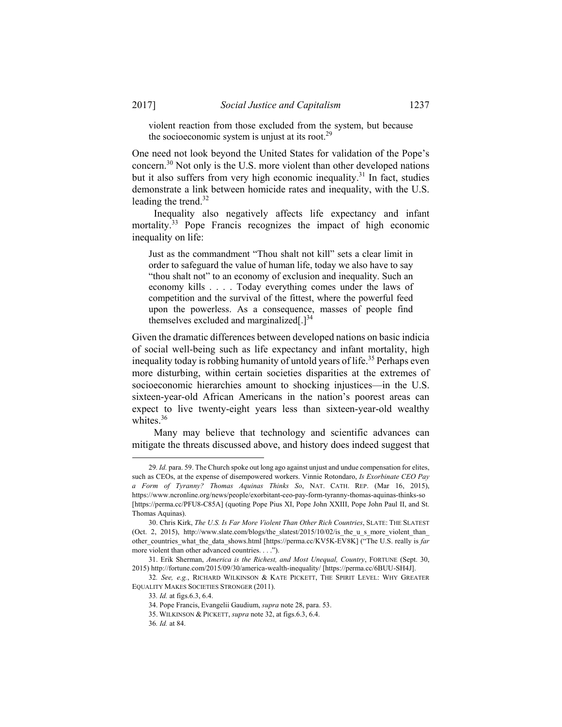violent reaction from those excluded from the system, but because the socioeconomic system is unjust at its root.<sup>29</sup>

One need not look beyond the United States for validation of the Pope's concern.30 Not only is the U.S. more violent than other developed nations but it also suffers from very high economic inequality.<sup>31</sup> In fact, studies demonstrate a link between homicide rates and inequality, with the U.S. leading the trend.<sup>32</sup>

Inequality also negatively affects life expectancy and infant mortality.<sup>33</sup> Pope Francis recognizes the impact of high economic inequality on life:

Just as the commandment "Thou shalt not kill" sets a clear limit in order to safeguard the value of human life, today we also have to say "thou shalt not" to an economy of exclusion and inequality. Such an economy kills . . . . Today everything comes under the laws of competition and the survival of the fittest, where the powerful feed upon the powerless. As a consequence, masses of people find themselves excluded and marginalized $[.]^{34}$ 

Given the dramatic differences between developed nations on basic indicia of social well-being such as life expectancy and infant mortality, high inequality today is robbing humanity of untold years of life.<sup>35</sup> Perhaps even more disturbing, within certain societies disparities at the extremes of socioeconomic hierarchies amount to shocking injustices—in the U.S. sixteen-year-old African Americans in the nation's poorest areas can expect to live twenty-eight years less than sixteen-year-old wealthy whites.<sup>36</sup>

Many may believe that technology and scientific advances can mitigate the threats discussed above, and history does indeed suggest that

 <sup>29</sup>*. Id.* para. 59. The Church spoke out long ago against unjust and undue compensation for elites, such as CEOs, at the expense of disempowered workers. Vinnie Rotondaro, *Is Exorbinate CEO Pay a Form of Tyranny? Thomas Aquinas Thinks So*, NAT. CATH. REP. (Mar 16, 2015), https://www.ncronline.org/news/people/exorbitant-ceo-pay-form-tyranny-thomas-aquinas-thinks-so [https://perma.cc/PFU8-C85A] (quoting Pope Pius XI, Pope John XXIII, Pope John Paul II, and St. Thomas Aquinas).

 <sup>30.</sup> Chris Kirk, *The U.S. Is Far More Violent Than Other Rich Countries*, SLATE: THE SLATEST (Oct. 2, 2015), http://www.slate.com/blogs/the\_slatest/2015/10/02/is\_the\_u\_s\_more\_violent\_than\_ other\_countries\_what\_the\_data\_shows.html [https://perma.cc/KV5K-EV8K] ("The U.S. really is *far* more violent than other advanced countries. . . .").

 <sup>31.</sup> Erik Sherman, *America is the Richest, and Most Unequal, Country*, FORTUNE (Sept. 30, 2015) http://fortune.com/2015/09/30/america-wealth-inequality/ [https://perma.cc/6BUU-SH4J].

<sup>32</sup>*. See, e.g.*, RICHARD WILKINSON & KATE PICKETT, THE SPIRIT LEVEL: WHY GREATER EQUALITY MAKES SOCIETIES STRONGER (2011).

<sup>33</sup>*. Id.* at figs.6.3, 6.4.

 <sup>34.</sup> Pope Francis, Evangelii Gaudium, *supra* note 28, para. 53.

 <sup>35.</sup> WILKINSON & PICKETT, *supra* note 32, at figs.6.3, 6.4.

<sup>36</sup>*. Id.* at 84.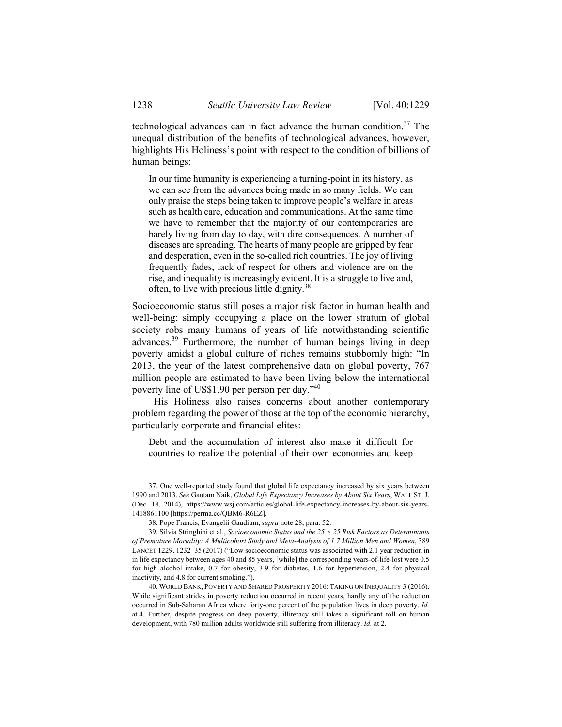technological advances can in fact advance the human condition. $37$  The unequal distribution of the benefits of technological advances, however, highlights His Holiness's point with respect to the condition of billions of human beings:

In our time humanity is experiencing a turning-point in its history, as we can see from the advances being made in so many fields. We can only praise the steps being taken to improve people's welfare in areas such as health care, education and communications. At the same time we have to remember that the majority of our contemporaries are barely living from day to day, with dire consequences. A number of diseases are spreading. The hearts of many people are gripped by fear and desperation, even in the so-called rich countries. The joy of living frequently fades, lack of respect for others and violence are on the rise, and inequality is increasingly evident. It is a struggle to live and, often, to live with precious little dignity.38

Socioeconomic status still poses a major risk factor in human health and well-being; simply occupying a place on the lower stratum of global society robs many humans of years of life notwithstanding scientific advances.39 Furthermore, the number of human beings living in deep poverty amidst a global culture of riches remains stubbornly high: "In 2013, the year of the latest comprehensive data on global poverty, 767 million people are estimated to have been living below the international poverty line of US\$1.90 per person per day."40

His Holiness also raises concerns about another contemporary problem regarding the power of those at the top of the economic hierarchy, particularly corporate and financial elites:

Debt and the accumulation of interest also make it difficult for countries to realize the potential of their own economies and keep

 <sup>37.</sup> One well-reported study found that global life expectancy increased by six years between 1990 and 2013. *See* Gautam Naik, *Global Life Expectancy Increases by About Six Years*, WALL ST.J. (Dec. 18, 2014), https://www.wsj.com/articles/global-life-expectancy-increases-by-about-six-years-1418861100 [https://perma.cc/QBM6-R6EZ].

 <sup>38.</sup> Pope Francis, Evangelii Gaudium, *supra* note 28, para. 52.

 <sup>39.</sup> Silvia Stringhini et al., *Socioeconomic Status and the 25 × 25 Risk Factors as Determinants of Premature Mortality: A Multicohort Study and Meta-Analysis of 1.7 Million Men and Women*, 389 LANCET 1229, 1232–35 (2017) ("Low socioeconomic status was associated with 2.1 year reduction in in life expectancy between ages 40 and 85 years, [while] the corresponding years-of-life-lost were 0.5 for high alcohol intake, 0.7 for obesity, 3.9 for diabetes, 1.6 for hypertension, 2.4 for physical inactivity, and 4.8 for current smoking.").

 <sup>40.</sup> WORLD BANK, POVERTY AND SHARED PROSPERITY 2016: TAKING ON INEQUALITY 3 (2016). While significant strides in poverty reduction occurred in recent years, hardly any of the reduction occurred in Sub-Saharan Africa where forty-one percent of the population lives in deep poverty. *Id.* at 4. Further, despite progress on deep poverty, illiteracy still takes a significant toll on human development, with 780 million adults worldwide still suffering from illiteracy. *Id.* at 2.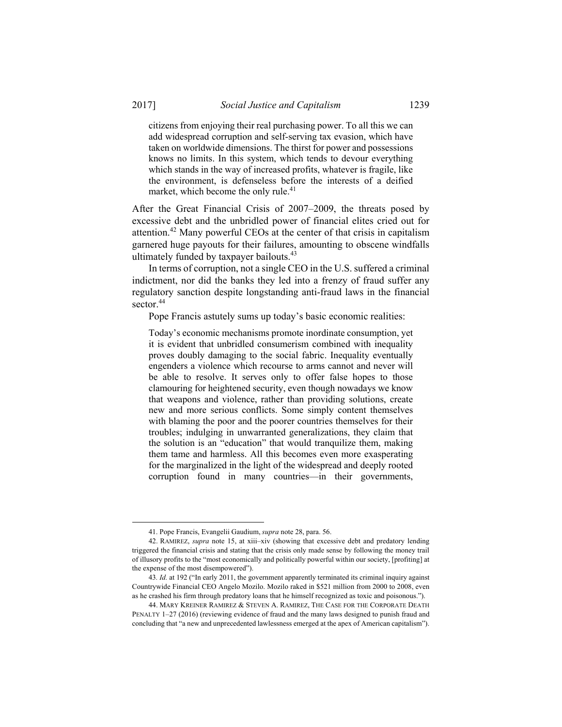citizens from enjoying their real purchasing power. To all this we can add widespread corruption and self-serving tax evasion, which have taken on worldwide dimensions. The thirst for power and possessions knows no limits. In this system, which tends to devour everything which stands in the way of increased profits, whatever is fragile, like the environment, is defenseless before the interests of a deified market, which become the only rule.<sup>41</sup>

After the Great Financial Crisis of 2007–2009, the threats posed by excessive debt and the unbridled power of financial elites cried out for attention.42 Many powerful CEOs at the center of that crisis in capitalism garnered huge payouts for their failures, amounting to obscene windfalls ultimately funded by taxpayer bailouts.<sup>43</sup>

In terms of corruption, not a single CEO in the U.S. suffered a criminal indictment, nor did the banks they led into a frenzy of fraud suffer any regulatory sanction despite longstanding anti-fraud laws in the financial sector.<sup>44</sup>

Pope Francis astutely sums up today's basic economic realities:

Today's economic mechanisms promote inordinate consumption, yet it is evident that unbridled consumerism combined with inequality proves doubly damaging to the social fabric. Inequality eventually engenders a violence which recourse to arms cannot and never will be able to resolve. It serves only to offer false hopes to those clamouring for heightened security, even though nowadays we know that weapons and violence, rather than providing solutions, create new and more serious conflicts. Some simply content themselves with blaming the poor and the poorer countries themselves for their troubles; indulging in unwarranted generalizations, they claim that the solution is an "education" that would tranquilize them, making them tame and harmless. All this becomes even more exasperating for the marginalized in the light of the widespread and deeply rooted corruption found in many countries—in their governments,

 <sup>41.</sup> Pope Francis, Evangelii Gaudium, *supra* note 28, para. 56.

 <sup>42.</sup> RAMIREZ, *supra* note 15, at xiii–xiv (showing that excessive debt and predatory lending triggered the financial crisis and stating that the crisis only made sense by following the money trail of illusory profits to the "most economically and politically powerful within our society, [profiting] at the expense of the most disempowered").

<sup>43</sup>*. Id.* at 192 ("In early 2011, the government apparently terminated its criminal inquiry against Countrywide Financial CEO Angelo Mozilo. Mozilo raked in \$521 million from 2000 to 2008, even as he crashed his firm through predatory loans that he himself recognized as toxic and poisonous.").

 <sup>44.</sup> MARY KREINER RAMIREZ & STEVEN A. RAMIREZ, THE CASE FOR THE CORPORATE DEATH PENALTY 1–27 (2016) (reviewing evidence of fraud and the many laws designed to punish fraud and concluding that "a new and unprecedented lawlessness emerged at the apex of American capitalism").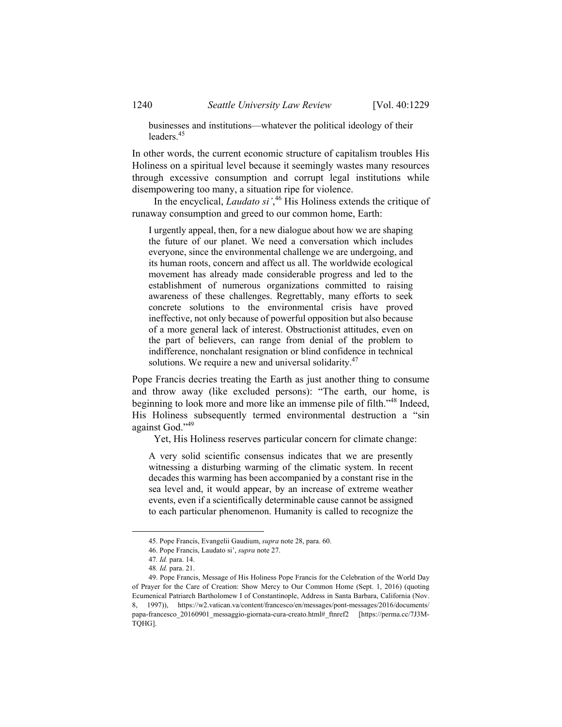businesses and institutions—whatever the political ideology of their leaders.45

In other words, the current economic structure of capitalism troubles His Holiness on a spiritual level because it seemingly wastes many resources through excessive consumption and corrupt legal institutions while disempowering too many, a situation ripe for violence.

In the encyclical, *Laudato si'*, 46 His Holiness extends the critique of runaway consumption and greed to our common home, Earth:

I urgently appeal, then, for a new dialogue about how we are shaping the future of our planet. We need a conversation which includes everyone, since the environmental challenge we are undergoing, and its human roots, concern and affect us all. The worldwide ecological movement has already made considerable progress and led to the establishment of numerous organizations committed to raising awareness of these challenges. Regrettably, many efforts to seek concrete solutions to the environmental crisis have proved ineffective, not only because of powerful opposition but also because of a more general lack of interest. Obstructionist attitudes, even on the part of believers, can range from denial of the problem to indifference, nonchalant resignation or blind confidence in technical solutions. We require a new and universal solidarity.<sup>47</sup>

Pope Francis decries treating the Earth as just another thing to consume and throw away (like excluded persons): "The earth, our home, is beginning to look more and more like an immense pile of filth."48 Indeed, His Holiness subsequently termed environmental destruction a "sin against God."49

Yet, His Holiness reserves particular concern for climate change:

A very solid scientific consensus indicates that we are presently witnessing a disturbing warming of the climatic system. In recent decades this warming has been accompanied by a constant rise in the sea level and, it would appear, by an increase of extreme weather events, even if a scientifically determinable cause cannot be assigned to each particular phenomenon. Humanity is called to recognize the

 <sup>45.</sup> Pope Francis, Evangelii Gaudium, *supra* note 28, para. 60.

 <sup>46.</sup> Pope Francis, Laudato si', *supra* note 27.

<sup>47</sup>*. Id.* para. 14.

<sup>48</sup>*. Id.* para. 21.

 <sup>49.</sup> Pope Francis, Message of His Holiness Pope Francis for the Celebration of the World Day of Prayer for the Care of Creation: Show Mercy to Our Common Home (Sept. 1, 2016) (quoting Ecumenical Patriarch Bartholomew I of Constantinople, Address in Santa Barbara, California (Nov. 8, 1997)), https://w2.vatican.va/content/francesco/en/messages/pont-messages/2016/documents/ papa-francesco\_20160901\_messaggio-giornata-cura-creato.html#\_ftnref2 [https://perma.cc/7J3M-TQHG].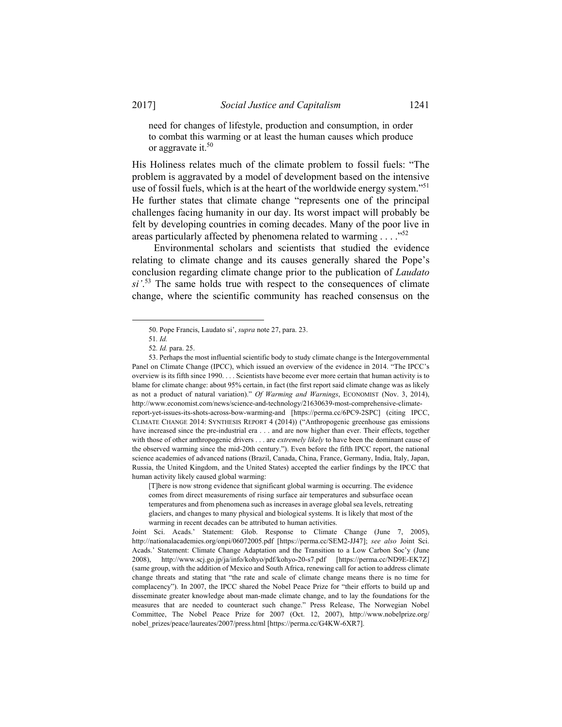need for changes of lifestyle, production and consumption, in order to combat this warming or at least the human causes which produce or aggravate it.<sup>50</sup>

His Holiness relates much of the climate problem to fossil fuels: "The problem is aggravated by a model of development based on the intensive use of fossil fuels, which is at the heart of the worldwide energy system."<sup>51</sup> He further states that climate change "represents one of the principal challenges facing humanity in our day. Its worst impact will probably be felt by developing countries in coming decades. Many of the poor live in areas particularly affected by phenomena related to warming  $\ldots$ ."<sup>52</sup>

Environmental scholars and scientists that studied the evidence relating to climate change and its causes generally shared the Pope's conclusion regarding climate change prior to the publication of *Laudato*   $si'$ <sup>53</sup>. The same holds true with respect to the consequences of climate change, where the scientific community has reached consensus on the

 <sup>50.</sup> Pope Francis, Laudato si', *supra* note 27, para. 23.

<sup>51</sup>*. Id.*

<sup>52</sup>*. Id.* para. 25.

 <sup>53.</sup> Perhaps the most influential scientific body to study climate change is the Intergovernmental Panel on Climate Change (IPCC), which issued an overview of the evidence in 2014. "The IPCC's overview is its fifth since 1990. . . . Scientists have become ever more certain that human activity is to blame for climate change: about 95% certain, in fact (the first report said climate change was as likely as not a product of natural variation)." *Of Warming and Warnings*, ECONOMIST (Nov. 3, 2014), http://www.economist.com/news/science-and-technology/21630639-most-comprehensive-climatereport-yet-issues-its-shots-across-bow-warming-and [https://perma.cc/6PC9-2SPC] (citing IPCC, CLIMATE CHANGE 2014: SYNTHESIS REPORT 4 (2014)) ("Anthropogenic greenhouse gas emissions have increased since the pre-industrial era . . . and are now higher than ever. Their effects, together with those of other anthropogenic drivers . . . are *extremely likely* to have been the dominant cause of the observed warming since the mid-20th century."). Even before the fifth IPCC report, the national science academies of advanced nations (Brazil, Canada, China, France, Germany, India, Italy, Japan, Russia, the United Kingdom, and the United States) accepted the earlier findings by the IPCC that human activity likely caused global warming:

<sup>[</sup>T]here is now strong evidence that significant global warming is occurring. The evidence comes from direct measurements of rising surface air temperatures and subsurface ocean temperatures and from phenomena such as increases in average global sea levels, retreating glaciers, and changes to many physical and biological systems. It is likely that most of the warming in recent decades can be attributed to human activities.

Joint Sci. Acads.' Statement: Glob. Response to Climate Change (June 7, 2005), http://nationalacademies.org/onpi/06072005.pdf [https://perma.cc/SEM2-JJ47]; *see also* Joint Sci. Acads.' Statement: Climate Change Adaptation and the Transition to a Low Carbon Soc'y (June 2008), http://www.scj.go.jp/ja/info/kohyo/pdf/kohyo-20-s7.pdf [https://perma.cc/ND9E-EK7Z] (same group, with the addition of Mexico and South Africa, renewing call for action to address climate change threats and stating that "the rate and scale of climate change means there is no time for complacency"). In 2007, the IPCC shared the Nobel Peace Prize for "their efforts to build up and disseminate greater knowledge about man-made climate change, and to lay the foundations for the measures that are needed to counteract such change." Press Release, The Norwegian Nobel Committee, The Nobel Peace Prize for 2007 (Oct. 12, 2007), http://www.nobelprize.org/ nobel\_prizes/peace/laureates/2007/press.html [https://perma.cc/G4KW-6XR7].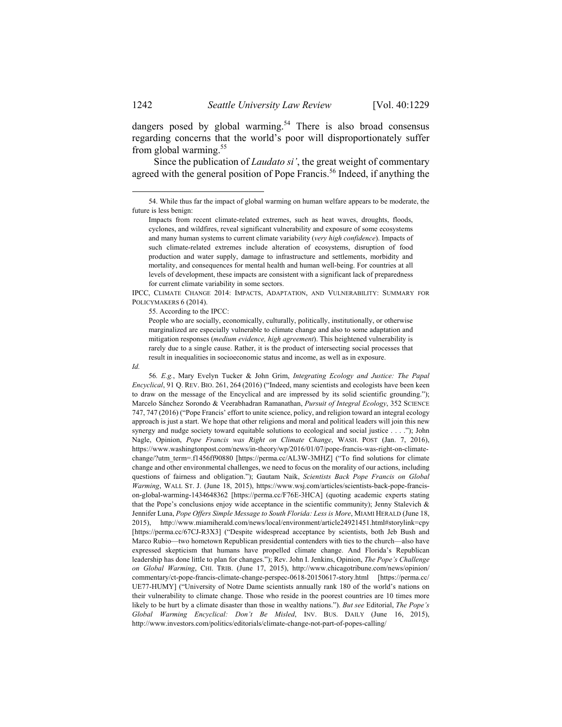dangers posed by global warming.<sup>54</sup> There is also broad consensus regarding concerns that the world's poor will disproportionately suffer from global warming. $55$ 

Since the publication of *Laudato si'*, the great weight of commentary agreed with the general position of Pope Francis.<sup>56</sup> Indeed, if anything the

IPCC, CLIMATE CHANGE 2014: IMPACTS, ADAPTATION, AND VULNERABILITY: SUMMARY FOR POLICYMAKERS 6 (2014).

55. According to the IPCC:

People who are socially, economically, culturally, politically, institutionally, or otherwise marginalized are especially vulnerable to climate change and also to some adaptation and mitigation responses (*medium evidence, high agreement*). This heightened vulnerability is rarely due to a single cause. Rather, it is the product of intersecting social processes that result in inequalities in socioeconomic status and income, as well as in exposure.

*Id.* 

56*. E.g.*, Mary Evelyn Tucker & John Grim, *Integrating Ecology and Justice: The Papal Encyclical*, 91 Q. REV. BIO. 261, 264 (2016) ("Indeed, many scientists and ecologists have been keen to draw on the message of the Encyclical and are impressed by its solid scientific grounding."); Marcelo Sánchez Sorondo & Veerabhadran Ramanathan, *Pursuit of Integral Ecology*, 352 SCIENCE 747, 747 (2016) ("Pope Francis' effort to unite science, policy, and religion toward an integral ecology approach is just a start. We hope that other religions and moral and political leaders will join this new synergy and nudge society toward equitable solutions to ecological and social justice . . . ."); John Nagle, Opinion, *Pope Francis was Right on Climate Change*, WASH. POST (Jan. 7, 2016), https://www.washingtonpost.com/news/in-theory/wp/2016/01/07/pope-francis-was-right-on-climatechange/?utm\_term=.f1456ff90880 [https://perma.cc/AL3W-3MHZ] ("To find solutions for climate change and other environmental challenges, we need to focus on the morality of our actions, including questions of fairness and obligation."); Gautam Naik, *Scientists Back Pope Francis on Global Warming*, WALL ST. J. (June 18, 2015), https://www.wsj.com/articles/scientists-back-pope-francison-global-warming-1434648362 [https://perma.cc/F76E-3HCA] (quoting academic experts stating that the Pope's conclusions enjoy wide acceptance in the scientific community); Jenny Stalevich  $\&$ Jennifer Luna, *Pope Offers Simple Message to South Florida: Less is More*, MIAMI HERALD (June 18, 2015), http://www.miamiherald.com/news/local/environment/article24921451.html#storylink=cpy [https://perma.cc/67CJ-R3X3] ("Despite widespread acceptance by scientists, both Jeb Bush and Marco Rubio—two hometown Republican presidential contenders with ties to the church—also have expressed skepticism that humans have propelled climate change. And Florida's Republican leadership has done little to plan for changes."); Rev. John I. Jenkins, Opinion, *The Pope's Challenge on Global Warming*, CHI. TRIB. (June 17, 2015), http://www.chicagotribune.com/news/opinion/ commentary/ct-pope-francis-climate-change-perspec-0618-20150617-story.html [https://perma.cc/ UE77-HUMY] ("University of Notre Dame scientists annually rank 180 of the world's nations on their vulnerability to climate change. Those who reside in the poorest countries are 10 times more likely to be hurt by a climate disaster than those in wealthy nations."). *But see* Editorial, *The Pope's Global Warming Encyclical: Don't Be Misled*, INV. BUS. DAILY (June 16, 2015), http://www.investors.com/politics/editorials/climate-change-not-part-of-popes-calling/

 <sup>54.</sup> While thus far the impact of global warming on human welfare appears to be moderate, the future is less benign:

Impacts from recent climate-related extremes, such as heat waves, droughts, floods, cyclones, and wildfires, reveal significant vulnerability and exposure of some ecosystems and many human systems to current climate variability (*very high confidence*). Impacts of such climate-related extremes include alteration of ecosystems, disruption of food production and water supply, damage to infrastructure and settlements, morbidity and mortality, and consequences for mental health and human well-being. For countries at all levels of development, these impacts are consistent with a significant lack of preparedness for current climate variability in some sectors.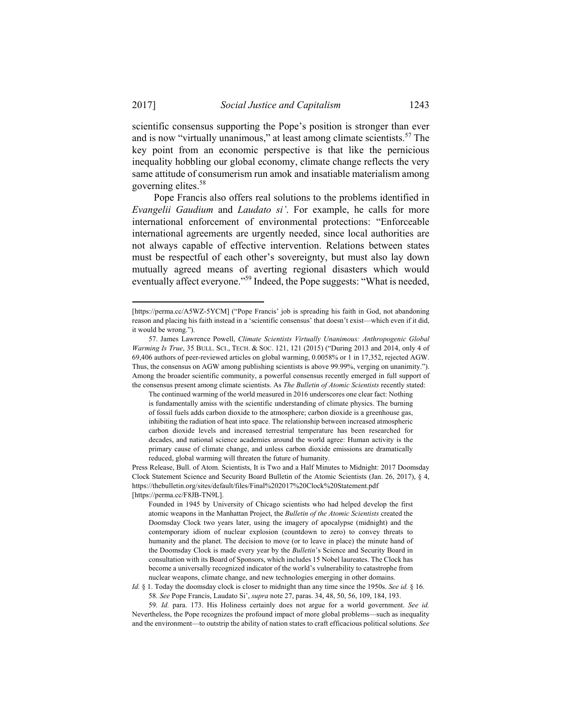1

scientific consensus supporting the Pope's position is stronger than ever and is now "virtually unanimous," at least among climate scientists.<sup>57</sup> The key point from an economic perspective is that like the pernicious inequality hobbling our global economy, climate change reflects the very same attitude of consumerism run amok and insatiable materialism among governing elites.<sup>58</sup>

Pope Francis also offers real solutions to the problems identified in *Evangelii Gaudium* and *Laudato si'*. For example, he calls for more international enforcement of environmental protections: "Enforceable international agreements are urgently needed, since local authorities are not always capable of effective intervention. Relations between states must be respectful of each other's sovereignty, but must also lay down mutually agreed means of averting regional disasters which would eventually affect everyone."<sup>59</sup> Indeed, the Pope suggests: "What is needed,

<sup>[</sup>https://perma.cc/A5WZ-5YCM] ("Pope Francis' job is spreading his faith in God, not abandoning reason and placing his faith instead in a 'scientific consensus' that doesn't exist—which even if it did, it would be wrong.").

 <sup>57.</sup> James Lawrence Powell, *Climate Scientists Virtually Unanimous: Anthropogenic Global Warming Is True*, 35 BULL. SCI., TECH. & SOC. 121, 121 (2015) ("During 2013 and 2014, only 4 of 69,406 authors of peer-reviewed articles on global warming, 0.0058% or 1 in 17,352, rejected AGW. Thus, the consensus on AGW among publishing scientists is above 99.99%, verging on unanimity."). Among the broader scientific community, a powerful consensus recently emerged in full support of the consensus present among climate scientists. As *The Bulletin of Atomic Scientists* recently stated:

The continued warming of the world measured in 2016 underscores one clear fact: Nothing is fundamentally amiss with the scientific understanding of climate physics. The burning of fossil fuels adds carbon dioxide to the atmosphere; carbon dioxide is a greenhouse gas, inhibiting the radiation of heat into space. The relationship between increased atmospheric carbon dioxide levels and increased terrestrial temperature has been researched for decades, and national science academies around the world agree: Human activity is the primary cause of climate change, and unless carbon dioxide emissions are dramatically reduced, global warming will threaten the future of humanity.

Press Release, Bull. of Atom. Scientists, It is Two and a Half Minutes to Midnight: 2017 Doomsday Clock Statement Science and Security Board Bulletin of the Atomic Scientists (Jan. 26, 2017), § 4, https://thebulletin.org/sites/default/files/Final%202017%20Clock%20Statement.pdf [https://perma.cc/F8JB-TN9L].

Founded in 1945 by University of Chicago scientists who had helped develop the first atomic weapons in the Manhattan Project, the *Bulletin of the Atomic Scientists* created the Doomsday Clock two years later, using the imagery of apocalypse (midnight) and the contemporary idiom of nuclear explosion (countdown to zero) to convey threats to humanity and the planet. The decision to move (or to leave in place) the minute hand of the Doomsday Clock is made every year by the *Bulletin*'s Science and Security Board in consultation with its Board of Sponsors, which includes 15 Nobel laureates. The Clock has become a universally recognized indicator of the world's vulnerability to catastrophe from nuclear weapons, climate change, and new technologies emerging in other domains.

*Id.* § 1. Today the doomsday clock is closer to midnight than any time since the 1950s. *See id.* § 16. 58*. See* Pope Francis, Laudato Si', *supra* note 27, paras. 34, 48, 50, 56, 109, 184, 193.

<sup>59</sup>*. Id.* para. 173. His Holiness certainly does not argue for a world government. *See id.* Nevertheless, the Pope recognizes the profound impact of more global problems—such as inequality and the environment—to outstrip the ability of nation states to craft efficacious political solutions. *See*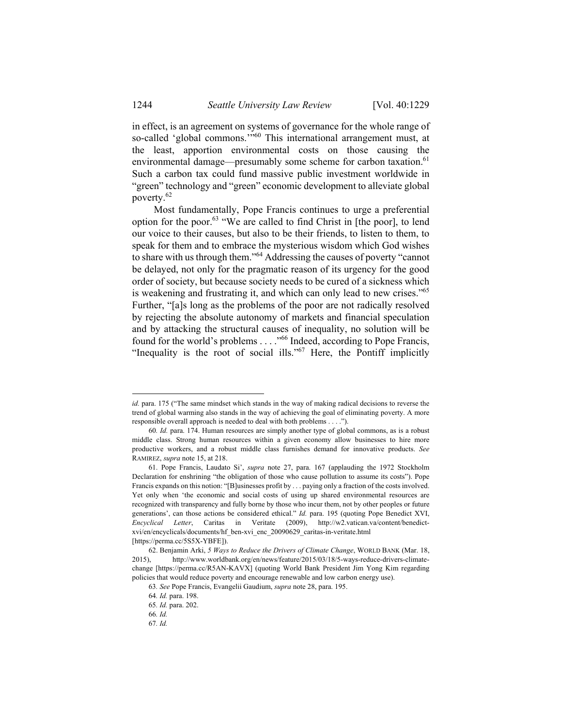in effect, is an agreement on systems of governance for the whole range of so-called 'global commons.'"<sup>60</sup> This international arrangement must, at the least, apportion environmental costs on those causing the environmental damage—presumably some scheme for carbon taxation.<sup>61</sup> Such a carbon tax could fund massive public investment worldwide in "green" technology and "green" economic development to alleviate global poverty.62

Most fundamentally, Pope Francis continues to urge a preferential option for the poor.63 "We are called to find Christ in [the poor], to lend our voice to their causes, but also to be their friends, to listen to them, to speak for them and to embrace the mysterious wisdom which God wishes to share with us through them."64 Addressing the causes of poverty "cannot be delayed, not only for the pragmatic reason of its urgency for the good order of society, but because society needs to be cured of a sickness which is weakening and frustrating it, and which can only lead to new crises."65 Further, "[a]s long as the problems of the poor are not radically resolved by rejecting the absolute autonomy of markets and financial speculation and by attacking the structural causes of inequality, no solution will be found for the world's problems . . . ."66 Indeed, according to Pope Francis, "Inequality is the root of social ills."67 Here, the Pontiff implicitly

*id.* para. 175 ("The same mindset which stands in the way of making radical decisions to reverse the trend of global warming also stands in the way of achieving the goal of eliminating poverty. A more responsible overall approach is needed to deal with both problems . . . .").

<sup>60</sup>*. Id.* para. 174. Human resources are simply another type of global commons, as is a robust middle class. Strong human resources within a given economy allow businesses to hire more productive workers, and a robust middle class furnishes demand for innovative products. *See* RAMIREZ, *supra* note 15, at 218.

 <sup>61.</sup> Pope Francis, Laudato Si', *supra* note 27, para. 167 (applauding the 1972 Stockholm Declaration for enshrining "the obligation of those who cause pollution to assume its costs"). Pope Francis expands on this notion: "[B]usinesses profit by . . . paying only a fraction of the costs involved. Yet only when 'the economic and social costs of using up shared environmental resources are recognized with transparency and fully borne by those who incur them, not by other peoples or future generations', can those actions be considered ethical." *Id.* para. 195 (quoting Pope Benedict XVI, *Encyclical Letter*, Caritas in Veritate (2009), http://w2.vatican.va/content/benedictxvi/en/encyclicals/documents/hf\_ben-xvi\_enc\_20090629\_caritas-in-veritate.html [https://perma.cc/5S5X-YBFE]).

 <sup>62.</sup> Benjamin Arki, *5 Ways to Reduce the Drivers of Climate Change*, WORLD BANK (Mar. 18, 2015), http://www.worldbank.org/en/news/feature/2015/03/18/5-ways-reduce-drivers-climatechange [https://perma.cc/R5AN-KAVX] (quoting World Bank President Jim Yong Kim regarding policies that would reduce poverty and encourage renewable and low carbon energy use).

<sup>63</sup>*. See* Pope Francis, Evangelii Gaudium, *supra* note 28, para. 195.

<sup>64</sup>*. Id.* para. 198.

<sup>65</sup>*. Id.* para. 202.

<sup>66</sup>*. Id.*

<sup>67</sup>*. Id.*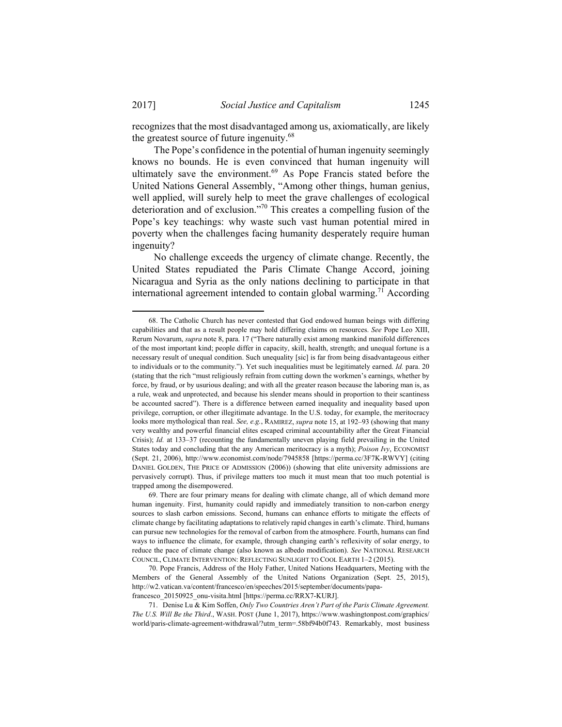recognizes that the most disadvantaged among us, axiomatically, are likely the greatest source of future ingenuity.<sup>68</sup>

The Pope's confidence in the potential of human ingenuity seemingly knows no bounds. He is even convinced that human ingenuity will ultimately save the environment.<sup>69</sup> As Pope Francis stated before the United Nations General Assembly, "Among other things, human genius, well applied, will surely help to meet the grave challenges of ecological deterioration and of exclusion."70 This creates a compelling fusion of the Pope's key teachings: why waste such vast human potential mired in poverty when the challenges facing humanity desperately require human ingenuity?

No challenge exceeds the urgency of climate change. Recently, the United States repudiated the Paris Climate Change Accord, joining Nicaragua and Syria as the only nations declining to participate in that international agreement intended to contain global warming.<sup>71</sup> According

 <sup>68.</sup> The Catholic Church has never contested that God endowed human beings with differing capabilities and that as a result people may hold differing claims on resources. *See* Pope Leo XIII, Rerum Novarum, *supra* note 8, para. 17 ("There naturally exist among mankind manifold differences of the most important kind; people differ in capacity, skill, health, strength; and unequal fortune is a necessary result of unequal condition. Such unequality [sic] is far from being disadvantageous either to individuals or to the community."). Yet such inequalities must be legitimately earned. *Id.* para. 20 (stating that the rich "must religiously refrain from cutting down the workmen's earnings, whether by force, by fraud, or by usurious dealing; and with all the greater reason because the laboring man is, as a rule, weak and unprotected, and because his slender means should in proportion to their scantiness be accounted sacred"). There is a difference between earned inequality and inequality based upon privilege, corruption, or other illegitimate advantage. In the U.S. today, for example, the meritocracy looks more mythological than real. *See, e.g.*, RAMIREZ, *supra* note 15, at 192–93 (showing that many very wealthy and powerful financial elites escaped criminal accountability after the Great Financial Crisis); *Id.* at 133–37 (recounting the fundamentally uneven playing field prevailing in the United States today and concluding that the any American meritocracy is a myth); *Poison Ivy*, ECONOMIST (Sept. 21, 2006), http://www.economist.com/node/7945858 [https://perma.cc/3F7K-RWVY] (citing DANIEL GOLDEN, THE PRICE OF ADMISSION (2006)) (showing that elite university admissions are pervasively corrupt). Thus, if privilege matters too much it must mean that too much potential is trapped among the disempowered.

 <sup>69.</sup> There are four primary means for dealing with climate change, all of which demand more human ingenuity. First, humanity could rapidly and immediately transition to non-carbon energy sources to slash carbon emissions. Second, humans can enhance efforts to mitigate the effects of climate change by facilitating adaptations to relatively rapid changes in earth's climate. Third, humans can pursue new technologies for the removal of carbon from the atmosphere. Fourth, humans can find ways to influence the climate, for example, through changing earth's reflexivity of solar energy, to reduce the pace of climate change (also known as albedo modification). *See* NATIONAL RESEARCH COUNCIL, CLIMATE INTERVENTION: REFLECTING SUNLIGHT TO COOL EARTH 1–2 (2015).

 <sup>70.</sup> Pope Francis, Address of the Holy Father, United Nations Headquarters, Meeting with the Members of the General Assembly of the United Nations Organization (Sept. 25, 2015), http://w2.vatican.va/content/francesco/en/speeches/2015/september/documents/papafrancesco\_20150925\_onu-visita.html [https://perma.cc/RRX7-KURJ].

 <sup>71.</sup> Denise Lu & Kim Soffen, *Only Two Countries Aren't Part of the Paris Climate Agreement. The U.S. Will Be the Third*., WASH. POST (June 1, 2017), https://www.washingtonpost.com/graphics/ world/paris-climate-agreement-withdrawal/?utm\_term=.58bf94b0f743. Remarkably, most business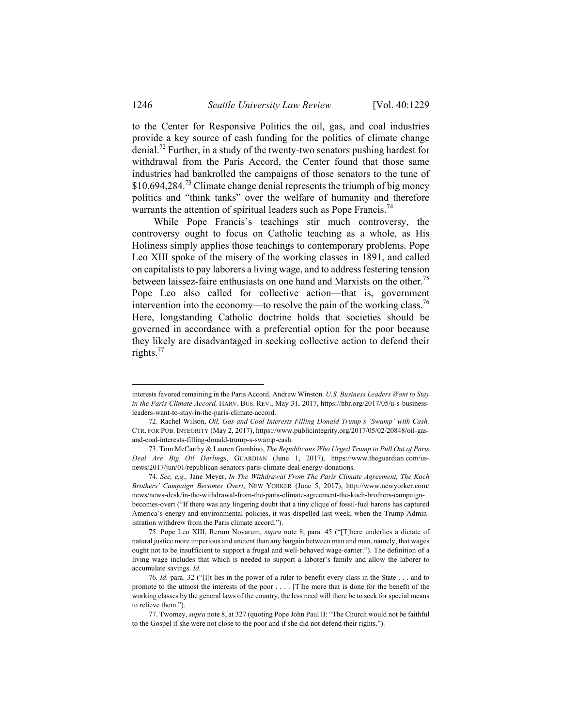to the Center for Responsive Politics the oil, gas, and coal industries provide a key source of cash funding for the politics of climate change denial.72 Further, in a study of the twenty-two senators pushing hardest for withdrawal from the Paris Accord, the Center found that those same industries had bankrolled the campaigns of those senators to the tune of  $$10,694,284.<sup>73</sup>$  Climate change denial represents the triumph of big money politics and "think tanks" over the welfare of humanity and therefore warrants the attention of spiritual leaders such as Pope Francis.<sup>74</sup>

While Pope Francis's teachings stir much controversy, the controversy ought to focus on Catholic teaching as a whole, as His Holiness simply applies those teachings to contemporary problems. Pope Leo XIII spoke of the misery of the working classes in 1891, and called on capitalists to pay laborers a living wage, and to address festering tension between laissez-faire enthusiasts on one hand and Marxists on the other.<sup>75</sup> Pope Leo also called for collective action—that is, government intervention into the economy—to resolve the pain of the working class.<sup>76</sup> Here, longstanding Catholic doctrine holds that societies should be governed in accordance with a preferential option for the poor because they likely are disadvantaged in seeking collective action to defend their rights. $77$ 

interests favored remaining in the Paris Accord. Andrew Winston*, U.S. Business Leaders Want to Stay in the Paris Climate Accord,* HARV. BUS. REV., May 31, 2017, https://hbr.org/2017/05/u-s-businessleaders-want-to-stay-in-the-paris-climate-accord.

 <sup>72.</sup> Rachel Wilson, *Oil, Gas and Coal Interests Filling Donald Trump's 'Swamp' with Cash,* CTR. FOR PUB. INTEGRITY (May 2, 2017), https://www.publicintegrity.org/2017/05/02/20848/oil-gasand-coal-interests-filling-donald-trump-s-swamp-cash.

 <sup>73.</sup> Tom McCarthy & Lauren Gambino, *The Republicans Who Urged Trump to Pull Out of Paris Deal Are Big Oil Darlings*, GUARDIAN (June 1, 2017), https://www.theguardian.com/usnews/2017/jun/01/republican-senators-paris-climate-deal-energy-donations.

<sup>74</sup>*. See, e,g.,* Jane Meyer, *In The Withdrawal From The Paris Climate Agreement, The Koch Brothers' Campaign Becomes Overt*, NEW YORKER (June 5, 2017), http://www.newyorker.com/ news/news-desk/in-the-withdrawal-from-the-paris-climate-agreement-the-koch-brothers-campaignbecomes-overt ("If there was any lingering doubt that a tiny clique of fossil-fuel barons has captured America's energy and environmental policies, it was dispelled last week, when the Trump Administration withdrew from the Paris climate accord.").

 <sup>75.</sup> Pope Leo XIII, Rerum Novarum, *supra* note 8, para. 45 ("[T]here underlies a dictate of natural justice more imperious and ancient than any bargain between man and man, namely, that wages ought not to be insufficient to support a frugal and well-behaved wage-earner."). The definition of a living wage includes that which is needed to support a laborer's family and allow the laborer to accumulate savings. *Id.*

<sup>76</sup>*. Id.* para. 32 ("[I]t lies in the power of a ruler to benefit every class in the State . . . and to promote to the utmost the interests of the poor . . . . [T]he more that is done for the benefit of the working classes by the general laws of the country, the less need will there be to seek for special means to relieve them.").

 <sup>77.</sup> Twomey, *supra* note 8, at 327 (quoting Pope John Paul II: "The Church would not be faithful to the Gospel if she were not close to the poor and if she did not defend their rights.").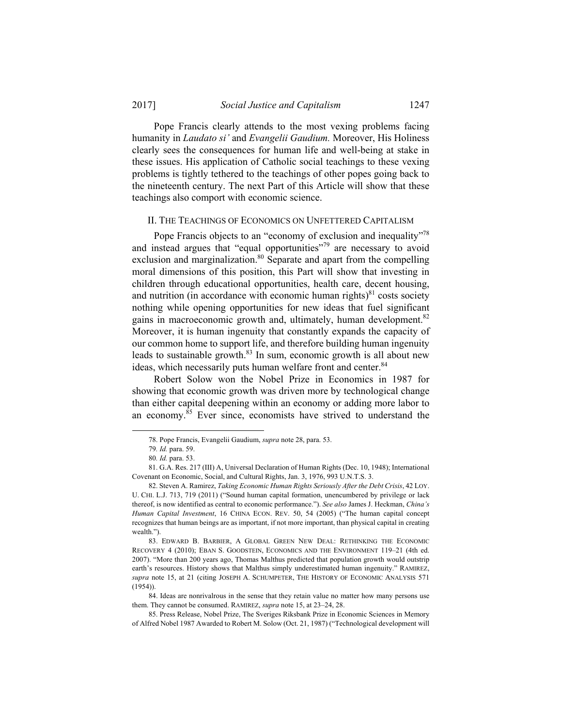Pope Francis clearly attends to the most vexing problems facing humanity in *Laudato si'* and *Evangelii Gaudium.* Moreover, His Holiness clearly sees the consequences for human life and well-being at stake in these issues. His application of Catholic social teachings to these vexing problems is tightly tethered to the teachings of other popes going back to the nineteenth century. The next Part of this Article will show that these teachings also comport with economic science.

#### II. THE TEACHINGS OF ECONOMICS ON UNFETTERED CAPITALISM

Pope Francis objects to an "economy of exclusion and inequality"<sup>78</sup> and instead argues that "equal opportunities"<sup>79</sup> are necessary to avoid exclusion and marginalization.<sup>80</sup> Separate and apart from the compelling moral dimensions of this position, this Part will show that investing in children through educational opportunities, health care, decent housing, and nutrition (in accordance with economic human rights) $81$  costs society nothing while opening opportunities for new ideas that fuel significant gains in macroeconomic growth and, ultimately, human development.<sup>82</sup> Moreover, it is human ingenuity that constantly expands the capacity of our common home to support life, and therefore building human ingenuity leads to sustainable growth. $83$  In sum, economic growth is all about new ideas, which necessarily puts human welfare front and center.<sup>84</sup>

Robert Solow won the Nobel Prize in Economics in 1987 for showing that economic growth was driven more by technological change than either capital deepening within an economy or adding more labor to an economy. $85$  Ever since, economists have strived to understand the

 <sup>78.</sup> Pope Francis, Evangelii Gaudium, *supra* note 28, para. 53.

<sup>79</sup>*. Id.* para. 59.

<sup>80</sup>*. Id.* para. 53.

 <sup>81.</sup> G.A. Res. 217 (III) A, Universal Declaration of Human Rights (Dec. 10, 1948); International Covenant on Economic, Social, and Cultural Rights, Jan. 3, 1976, 993 U.N.T.S. 3.

 <sup>82.</sup> Steven A. Ramirez, *Taking Economic Human Rights Seriously After the Debt Crisis*, 42 LOY. U. CHI. L.J. 713, 719 (2011) ("Sound human capital formation, unencumbered by privilege or lack thereof, is now identified as central to economic performance."). *See also* James J. Heckman, *China's Human Capital Investment*, 16 CHINA ECON. REV. 50, 54 (2005) ("The human capital concept recognizes that human beings are as important, if not more important, than physical capital in creating wealth.").

 <sup>83.</sup> EDWARD B. BARBIER, A GLOBAL GREEN NEW DEAL: RETHINKING THE ECONOMIC RECOVERY 4 (2010); EBAN S. GOODSTEIN, ECONOMICS AND THE ENVIRONMENT 119–21 (4th ed. 2007). "More than 200 years ago, Thomas Malthus predicted that population growth would outstrip earth's resources. History shows that Malthus simply underestimated human ingenuity." RAMIREZ, *supra* note 15, at 21 (citing JOSEPH A. SCHUMPETER, THE HISTORY OF ECONOMIC ANALYSIS 571 (1954)).

 <sup>84.</sup> Ideas are nonrivalrous in the sense that they retain value no matter how many persons use them. They cannot be consumed. RAMIREZ, *supra* note 15, at 23–24, 28.

 <sup>85.</sup> Press Release, Nobel Prize, The Sveriges Riksbank Prize in Economic Sciences in Memory of Alfred Nobel 1987 Awarded to Robert M. Solow (Oct. 21, 1987) ("Technological development will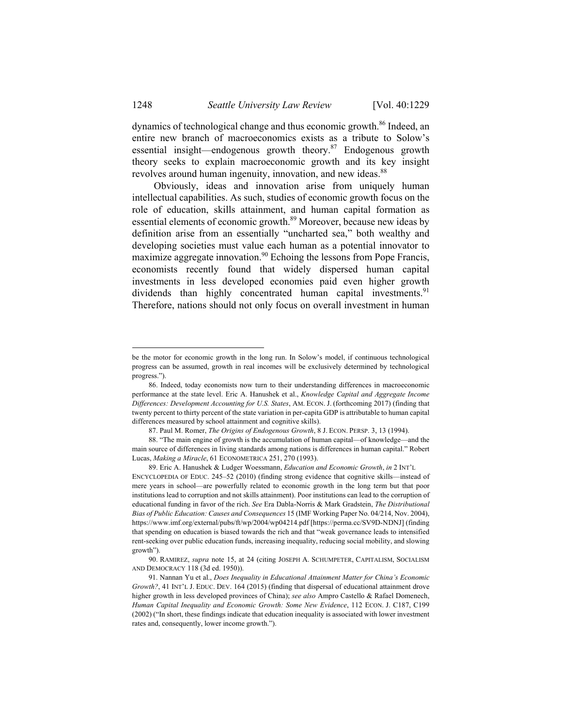dynamics of technological change and thus economic growth.<sup>86</sup> Indeed, an entire new branch of macroeconomics exists as a tribute to Solow's essential insight—endogenous growth theory.<sup>87</sup> Endogenous growth theory seeks to explain macroeconomic growth and its key insight revolves around human ingenuity, innovation, and new ideas.<sup>88</sup>

Obviously, ideas and innovation arise from uniquely human intellectual capabilities. As such, studies of economic growth focus on the role of education, skills attainment, and human capital formation as essential elements of economic growth.<sup>89</sup> Moreover, because new ideas by definition arise from an essentially "uncharted sea," both wealthy and developing societies must value each human as a potential innovator to maximize aggregate innovation.<sup>90</sup> Echoing the lessons from Pope Francis, economists recently found that widely dispersed human capital investments in less developed economies paid even higher growth dividends than highly concentrated human capital investments.<sup>91</sup> Therefore, nations should not only focus on overall investment in human

87. Paul M. Romer, *The Origins of Endogenous Growth*, 8 J. ECON. PERSP. 3, 13 (1994).

be the motor for economic growth in the long run. In Solow's model, if continuous technological progress can be assumed, growth in real incomes will be exclusively determined by technological progress.").

 <sup>86.</sup> Indeed, today economists now turn to their understanding differences in macroeconomic performance at the state level. Eric A. Hanushek et al., *Knowledge Capital and Aggregate Income Differences: Development Accounting for U.S. States*, AM. ECON. J. (forthcoming 2017) (finding that twenty percent to thirty percent of the state variation in per-capita GDP is attributable to human capital differences measured by school attainment and cognitive skills).

 <sup>88. &</sup>quot;The main engine of growth is the accumulation of human capital—of knowledge—and the main source of differences in living standards among nations is differences in human capital." Robert Lucas, *Making a Miracle*, 61 ECONOMETRICA 251, 270 (1993).

 <sup>89.</sup> Eric A. Hanushek & Ludger Woessmann, *Education and Economic Growth*, *in* 2 INT'L ENCYCLOPEDIA OF EDUC. 245–52 (2010) (finding strong evidence that cognitive skills—instead of mere years in school—are powerfully related to economic growth in the long term but that poor institutions lead to corruption and not skills attainment). Poor institutions can lead to the corruption of educational funding in favor of the rich. *See* Era Dabla-Norris & Mark Gradstein, *The Distributional Bias of Public Education: Causes and Consequences* 15 (IMF Working Paper No. 04/214, Nov. 2004), https://www.imf.org/external/pubs/ft/wp/2004/wp04214.pdf [https://perma.cc/SV9D-NDNJ] (finding that spending on education is biased towards the rich and that "weak governance leads to intensified rent-seeking over public education funds, increasing inequality, reducing social mobility, and slowing growth").

 <sup>90.</sup> RAMIREZ, *supra* note 15, at 24 (citing JOSEPH A. SCHUMPETER, CAPITALISM, SOCIALISM AND DEMOCRACY 118 (3d ed. 1950)).

 <sup>91.</sup> Nannan Yu et al., *Does Inequality in Educational Attainment Matter for China's Economic Growth?*, 41 INT'L J. EDUC. DEV. 164 (2015) (finding that dispersal of educational attainment drove higher growth in less developed provinces of China); *see also* Ampro Castello & Rafael Domenech, *Human Capital Inequality and Economic Growth: Some New Evidence*, 112 ECON. J. C187, C199 (2002) ("In short, these findings indicate that education inequality is associated with lower investment rates and, consequently, lower income growth.").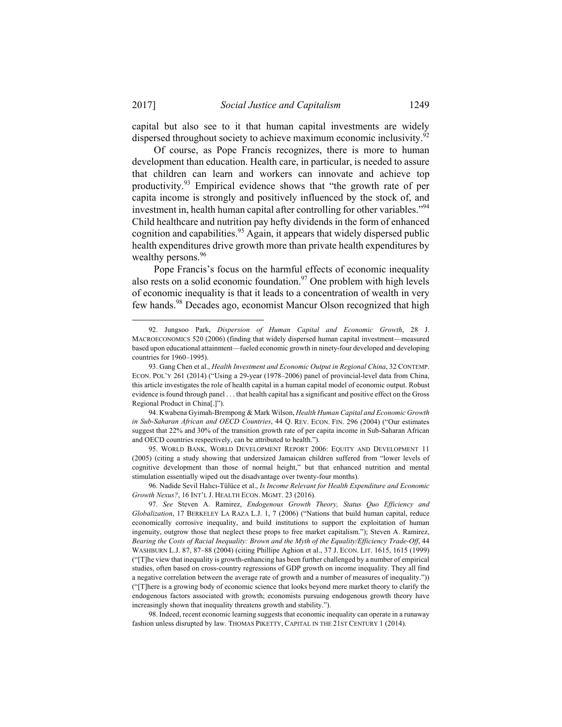capital but also see to it that human capital investments are widely dispersed throughout society to achieve maximum economic inclusivity.<sup>92</sup>

Of course, as Pope Francis recognizes, there is more to human development than education. Health care, in particular, is needed to assure that children can learn and workers can innovate and achieve top productivity.93 Empirical evidence shows that "the growth rate of per capita income is strongly and positively influenced by the stock of, and investment in, health human capital after controlling for other variables."<sup>94</sup> Child healthcare and nutrition pay hefty dividends in the form of enhanced cognition and capabilities.<sup>95</sup> Again, it appears that widely dispersed public health expenditures drive growth more than private health expenditures by wealthy persons.<sup>96</sup>

Pope Francis's focus on the harmful effects of economic inequality also rests on a solid economic foundation.<sup>97</sup> One problem with high levels of economic inequality is that it leads to a concentration of wealth in very few hands.<sup>98</sup> Decades ago, economist Mancur Olson recognized that high

 <sup>92.</sup> Jungsoo Park, *Dispersion of Human Capital and Economic Growth*, 28 J. MACROECONOMICS 520 (2006) (finding that widely dispersed human capital investment—measured based upon educational attainment—fueled economic growth in ninety-four developed and developing countries for 1960–1995).

 <sup>93.</sup> Gang Chen et al., *Health Investment and Economic Output in Regional China*, 32 CONTEMP. ECON. POL'Y 261 (2014) ("Using a 29-year (1978–2006) panel of provincial-level data from China, this article investigates the role of health capital in a human capital model of economic output. Robust evidence is found through panel . . . that health capital has a significant and positive effect on the Gross Regional Product in China[.]").

 <sup>94.</sup> Kwabena Gyimah-Brempong & Mark Wilson, *Health Human Capital and Economic Growth in Sub-Saharan African and OECD Countries*, 44 Q. REV. ECON. FIN. 296 (2004) ("Our estimates suggest that 22% and 30% of the transition growth rate of per capita income in Sub-Saharan African and OECD countries respectively, can be attributed to health.").

 <sup>95.</sup> WORLD BANK, WORLD DEVELOPMENT REPORT 2006: EQUITY AND DEVELOPMENT 11 (2005) (citing a study showing that undersized Jamaican children suffered from "lower levels of cognitive development than those of normal height," but that enhanced nutrition and mental stimulation essentially wiped out the disadvantage over twenty-four months).

 <sup>96.</sup> Nadide Sevil Halıcı-Tülüce et al., *Is Income Relevant for Health Expenditure and Economic Growth Nexus?*, 16 INT'L J. HEALTH ECON. MGMT. 23 (2016).

<sup>97</sup>*. See* Steven A. Ramirez, *Endogenous Growth Theory, Status Quo Efficiency and Globalization*, 17 BERKELEY LA RAZA L.J. 1, 7 (2006) ("Nations that build human capital, reduce economically corrosive inequality, and build institutions to support the exploitation of human ingenuity, outgrow those that neglect these props to free market capitalism."); Steven A. Ramirez, *Bearing the Costs of Racial Inequality: Brown and the Myth of the Equality/Efficiency Trade-Off*, 44 WASHBURN L.J. 87, 87–88 (2004) (citing Phillipe Aghion et al., 37 J. ECON. LIT. 1615, 1615 (1999) ("[T]he view that inequality is growth-enhancing has been further challenged by a number of empirical studies, often based on cross-country regressions of GDP growth on income inequality. They all find a negative correlation between the average rate of growth and a number of measures of inequality.")) ("[T]here is a growing body of economic science that looks beyond mere market theory to clarify the endogenous factors associated with growth; economists pursuing endogenous growth theory have increasingly shown that inequality threatens growth and stability.").

 <sup>98.</sup> Indeed, recent economic learning suggests that economic inequality can operate in a runaway fashion unless disrupted by law. THOMAS PIKETTY, CAPITAL IN THE 21ST CENTURY 1 (2014).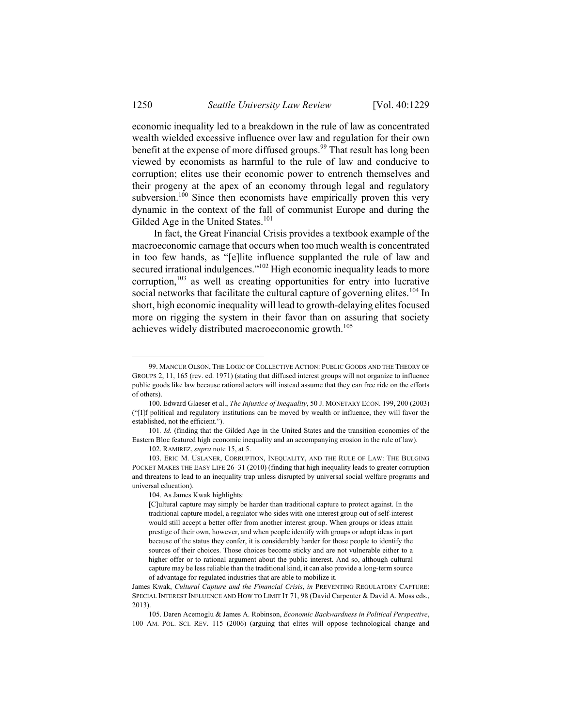economic inequality led to a breakdown in the rule of law as concentrated wealth wielded excessive influence over law and regulation for their own benefit at the expense of more diffused groups.<sup>99</sup> That result has long been viewed by economists as harmful to the rule of law and conducive to corruption; elites use their economic power to entrench themselves and their progeny at the apex of an economy through legal and regulatory subversion.<sup>100</sup> Since then economists have empirically proven this very dynamic in the context of the fall of communist Europe and during the Gilded Age in the United States.<sup>101</sup>

In fact, the Great Financial Crisis provides a textbook example of the macroeconomic carnage that occurs when too much wealth is concentrated in too few hands, as "[e]lite influence supplanted the rule of law and secured irrational indulgences."<sup>102</sup> High economic inequality leads to more corruption, $103$  as well as creating opportunities for entry into lucrative social networks that facilitate the cultural capture of governing elites.<sup>104</sup> In short, high economic inequality will lead to growth-delaying elites focused more on rigging the system in their favor than on assuring that society achieves widely distributed macroeconomic growth.<sup>105</sup>

 103. ERIC M. USLANER, CORRUPTION, INEQUALITY, AND THE RULE OF LAW: THE BULGING POCKET MAKES THE EASY LIFE 26–31 (2010) (finding that high inequality leads to greater corruption and threatens to lead to an inequality trap unless disrupted by universal social welfare programs and universal education).

104. As James Kwak highlights:

 <sup>99.</sup> MANCUR OLSON, THE LOGIC OF COLLECTIVE ACTION: PUBLIC GOODS AND THE THEORY OF GROUPS 2, 11, 165 (rev. ed. 1971) (stating that diffused interest groups will not organize to influence public goods like law because rational actors will instead assume that they can free ride on the efforts of others).

 <sup>100.</sup> Edward Glaeser et al., *The Injustice of Inequality*, 50 J. MONETARY ECON. 199, 200 (2003) ("[I]f political and regulatory institutions can be moved by wealth or influence, they will favor the established, not the efficient.").

<sup>101</sup>*. Id.* (finding that the Gilded Age in the United States and the transition economies of the Eastern Bloc featured high economic inequality and an accompanying erosion in the rule of law).

 <sup>102.</sup> RAMIREZ, *supra* note 15, at 5.

<sup>[</sup>C]ultural capture may simply be harder than traditional capture to protect against. In the traditional capture model, a regulator who sides with one interest group out of self-interest would still accept a better offer from another interest group. When groups or ideas attain prestige of their own, however, and when people identify with groups or adopt ideas in part because of the status they confer, it is considerably harder for those people to identify the sources of their choices. Those choices become sticky and are not vulnerable either to a higher offer or to rational argument about the public interest. And so, although cultural capture may be less reliable than the traditional kind, it can also provide a long-term source of advantage for regulated industries that are able to mobilize it.

James Kwak, *Cultural Capture and the Financial Crisis*, *in* PREVENTING REGULATORY CAPTURE: SPECIAL INTEREST INFLUENCE AND HOW TO LIMIT IT 71, 98 (David Carpenter & David A. Moss eds., 2013).

 <sup>105.</sup> Daren Acemoglu & James A. Robinson, *Economic Backwardness in Political Perspective*, 100 AM. POL. SCI. REV. 115 (2006) (arguing that elites will oppose technological change and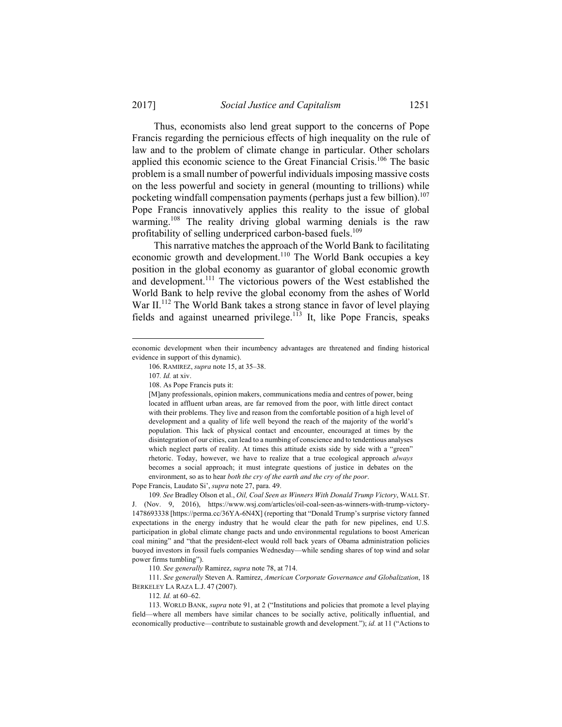Thus, economists also lend great support to the concerns of Pope Francis regarding the pernicious effects of high inequality on the rule of law and to the problem of climate change in particular. Other scholars applied this economic science to the Great Financial Crisis.<sup>106</sup> The basic problem is a small number of powerful individuals imposing massive costs on the less powerful and society in general (mounting to trillions) while pocketing windfall compensation payments (perhaps just a few billion).<sup>107</sup> Pope Francis innovatively applies this reality to the issue of global warming.<sup>108</sup> The reality driving global warming denials is the raw profitability of selling underpriced carbon-based fuels.<sup>109</sup>

This narrative matches the approach of the World Bank to facilitating economic growth and development.<sup>110</sup> The World Bank occupies a key position in the global economy as guarantor of global economic growth and development.<sup>111</sup> The victorious powers of the West established the World Bank to help revive the global economy from the ashes of World War II.<sup>112</sup> The World Bank takes a strong stance in favor of level playing fields and against unearned privilege.<sup>113</sup> It, like Pope Francis, speaks

1

Pope Francis, Laudato Si', *supra* note 27, para. 49.

109*. See* Bradley Olson et al., *Oil, Coal Seen as Winners With Donald Trump Victory*, WALL ST. J. (Nov. 9, 2016), https://www.wsj.com/articles/oil-coal-seen-as-winners-with-trump-victory-1478693338 [https://perma.cc/36YA-6N4X] (reporting that "Donald Trump's surprise victory fanned expectations in the energy industry that he would clear the path for new pipelines, end U.S. participation in global climate change pacts and undo environmental regulations to boost American coal mining" and "that the president-elect would roll back years of Obama administration policies buoyed investors in fossil fuels companies Wednesday—while sending shares of top wind and solar power firms tumbling").

110*. See generally* Ramirez, *supra* note 78, at 714.

 111. *See generally* Steven A. Ramirez, *American Corporate Governance and Globalization*, 18 BERKELEY LA RAZA L.J. 47 (2007).

economic development when their incumbency advantages are threatened and finding historical evidence in support of this dynamic).

 <sup>106.</sup> RAMIREZ, *supra* note 15, at 35–38.

<sup>107</sup>*. Id.* at xiv.

 <sup>108.</sup> As Pope Francis puts it:

<sup>[</sup>M]any professionals, opinion makers, communications media and centres of power, being located in affluent urban areas, are far removed from the poor, with little direct contact with their problems. They live and reason from the comfortable position of a high level of development and a quality of life well beyond the reach of the majority of the world's population. This lack of physical contact and encounter, encouraged at times by the disintegration of our cities, can lead to a numbing of conscience and to tendentious analyses which neglect parts of reality. At times this attitude exists side by side with a "green" rhetoric. Today, however, we have to realize that a true ecological approach *always* becomes a social approach; it must integrate questions of justice in debates on the environment, so as to hear *both the cry of the earth and the cry of the poor*.

<sup>112</sup>*. Id.* at 60–62.

 <sup>113.</sup> WORLD BANK, *supra* note 91, at 2 ("Institutions and policies that promote a level playing field—where all members have similar chances to be socially active, politically influential, and economically productive—contribute to sustainable growth and development."); *id.* at 11 ("Actions to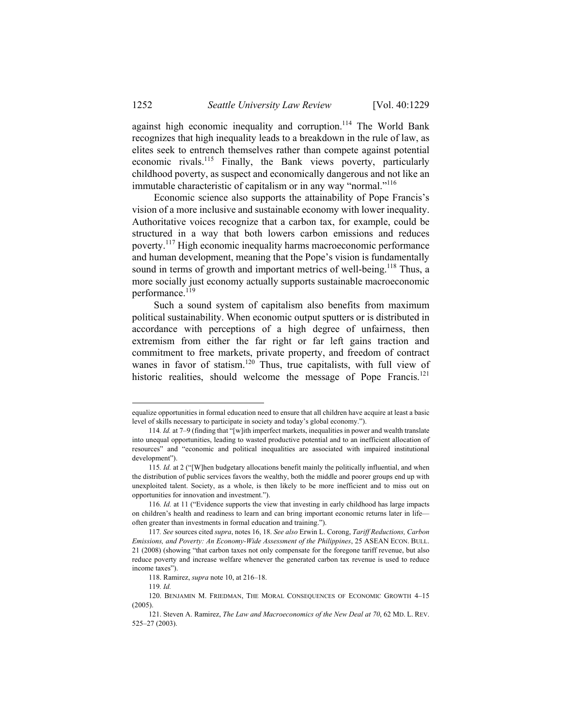against high economic inequality and corruption.<sup>114</sup> The World Bank recognizes that high inequality leads to a breakdown in the rule of law, as elites seek to entrench themselves rather than compete against potential economic rivals.115 Finally, the Bank views poverty, particularly childhood poverty, as suspect and economically dangerous and not like an immutable characteristic of capitalism or in any way "normal."<sup>116</sup>

Economic science also supports the attainability of Pope Francis's vision of a more inclusive and sustainable economy with lower inequality. Authoritative voices recognize that a carbon tax, for example, could be structured in a way that both lowers carbon emissions and reduces poverty.117 High economic inequality harms macroeconomic performance and human development, meaning that the Pope's vision is fundamentally sound in terms of growth and important metrics of well-being.<sup>118</sup> Thus, a more socially just economy actually supports sustainable macroeconomic performance.<sup>119</sup>

Such a sound system of capitalism also benefits from maximum political sustainability. When economic output sputters or is distributed in accordance with perceptions of a high degree of unfairness, then extremism from either the far right or far left gains traction and commitment to free markets, private property, and freedom of contract wanes in favor of statism.<sup>120</sup> Thus, true capitalists, with full view of historic realities, should welcome the message of Pope Francis.<sup>121</sup>

equalize opportunities in formal education need to ensure that all children have acquire at least a basic level of skills necessary to participate in society and today's global economy.").

<sup>114</sup>*. Id.* at 7–9 (finding that "[w]ith imperfect markets, inequalities in power and wealth translate into unequal opportunities, leading to wasted productive potential and to an inefficient allocation of resources" and "economic and political inequalities are associated with impaired institutional development").

<sup>115</sup>*. Id.* at 2 ("[W]hen budgetary allocations benefit mainly the politically influential, and when the distribution of public services favors the wealthy, both the middle and poorer groups end up with unexploited talent. Society, as a whole, is then likely to be more inefficient and to miss out on opportunities for innovation and investment.").

<sup>116</sup>*. Id.* at 11 ("Evidence supports the view that investing in early childhood has large impacts on children's health and readiness to learn and can bring important economic returns later in life often greater than investments in formal education and training.").

<sup>117</sup>*. See* sources cited *supra*, notes 16, 18. *See also* Erwin L. Corong, *Tariff Reductions, Carbon Emissions, and Poverty: An Economy-Wide Assessment of the Philippines*, 25 ASEAN ECON. BULL. 21 (2008) (showing "that carbon taxes not only compensate for the foregone tariff revenue, but also reduce poverty and increase welfare whenever the generated carbon tax revenue is used to reduce income taxes").

 <sup>118.</sup> Ramirez, *supra* note 10, at 216–18.

<sup>119</sup>*. Id.*

 <sup>120.</sup> BENJAMIN M. FRIEDMAN, THE MORAL CONSEQUENCES OF ECONOMIC GROWTH 4–15 (2005).

 <sup>121.</sup> Steven A. Ramirez, *The Law and Macroeconomics of the New Deal at 70*, 62 MD. L. REV. 525–27 (2003).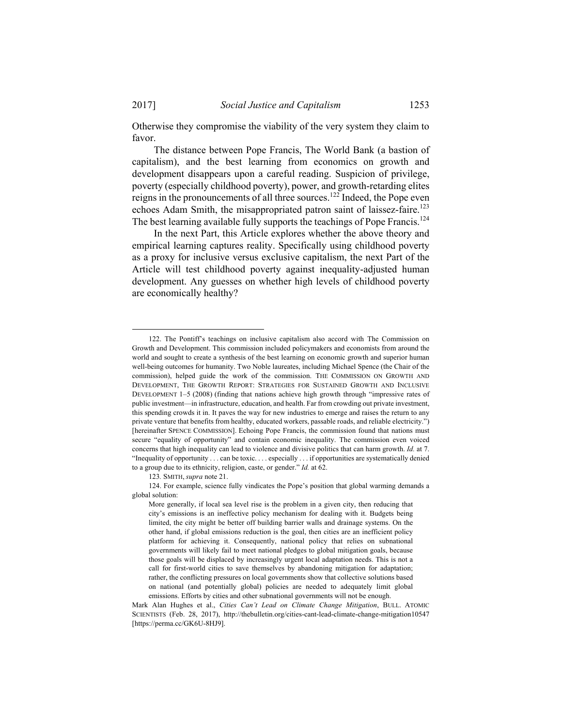Otherwise they compromise the viability of the very system they claim to favor.

The distance between Pope Francis, The World Bank (a bastion of capitalism), and the best learning from economics on growth and development disappears upon a careful reading. Suspicion of privilege, poverty (especially childhood poverty), power, and growth-retarding elites reigns in the pronouncements of all three sources.122 Indeed, the Pope even echoes Adam Smith, the misappropriated patron saint of laissez-faire.<sup>123</sup> The best learning available fully supports the teachings of Pope Francis.<sup>124</sup>

In the next Part, this Article explores whether the above theory and empirical learning captures reality. Specifically using childhood poverty as a proxy for inclusive versus exclusive capitalism, the next Part of the Article will test childhood poverty against inequality-adjusted human development. Any guesses on whether high levels of childhood poverty are economically healthy?

123*.* SMITH, *supra* note 21.

 <sup>122.</sup> The Pontiff's teachings on inclusive capitalism also accord with The Commission on Growth and Development. This commission included policymakers and economists from around the world and sought to create a synthesis of the best learning on economic growth and superior human well-being outcomes for humanity. Two Noble laureates, including Michael Spence (the Chair of the commission), helped guide the work of the commission. THE COMMISSION ON GROWTH AND DEVELOPMENT, THE GROWTH REPORT: STRATEGIES FOR SUSTAINED GROWTH AND INCLUSIVE DEVELOPMENT 1–5 (2008) (finding that nations achieve high growth through "impressive rates of public investment—in infrastructure, education, and health. Far from crowding out private investment, this spending crowds it in. It paves the way for new industries to emerge and raises the return to any private venture that benefits from healthy, educated workers, passable roads, and reliable electricity.") [hereinafter SPENCE COMMISSION]. Echoing Pope Francis, the commission found that nations must secure "equality of opportunity" and contain economic inequality. The commission even voiced concerns that high inequality can lead to violence and divisive politics that can harm growth. *Id.* at 7. "Inequality of opportunity . . . can be toxic. . . . especially . . . if opportunities are systematically denied to a group due to its ethnicity, religion, caste, or gender." *Id.* at 62.

 <sup>124.</sup> For example, science fully vindicates the Pope's position that global warming demands a global solution:

More generally, if local sea level rise is the problem in a given city, then reducing that city's emissions is an ineffective policy mechanism for dealing with it. Budgets being limited, the city might be better off building barrier walls and drainage systems. On the other hand, if global emissions reduction is the goal, then cities are an inefficient policy platform for achieving it. Consequently, national policy that relies on subnational governments will likely fail to meet national pledges to global mitigation goals, because those goals will be displaced by increasingly urgent local adaptation needs. This is not a call for first-world cities to save themselves by abandoning mitigation for adaptation; rather, the conflicting pressures on local governments show that collective solutions based on national (and potentially global) policies are needed to adequately limit global emissions. Efforts by cities and other subnational governments will not be enough.

Mark Alan Hughes et al., *Cities Can't Lead on Climate Change Mitigation*, BULL. ATOMIC SCIENTISTS (Feb. 28, 2017), http://thebulletin.org/cities-cant-lead-climate-change-mitigation10547 [https://perma.cc/GK6U-8HJ9].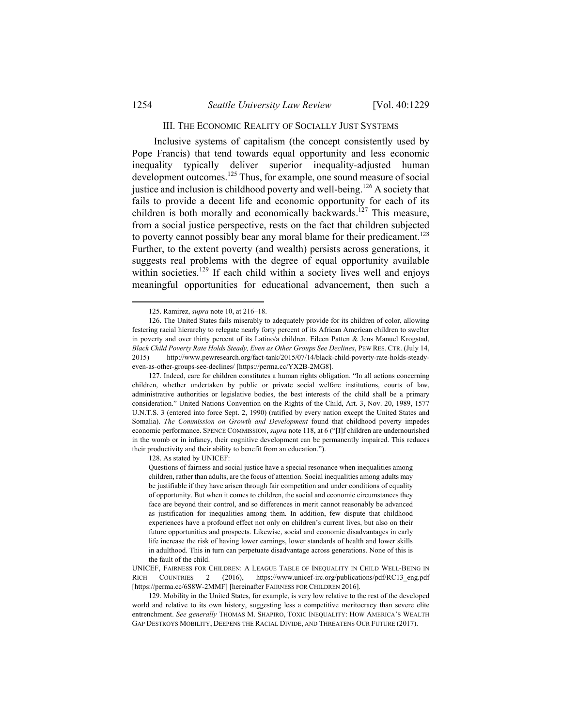#### III. THE ECONOMIC REALITY OF SOCIALLY JUST SYSTEMS

Inclusive systems of capitalism (the concept consistently used by Pope Francis) that tend towards equal opportunity and less economic inequality typically deliver superior inequality-adjusted human development outcomes.<sup>125</sup> Thus, for example, one sound measure of social justice and inclusion is childhood poverty and well-being.<sup>126</sup> A society that fails to provide a decent life and economic opportunity for each of its children is both morally and economically backwards.<sup>127</sup> This measure, from a social justice perspective, rests on the fact that children subjected to poverty cannot possibly bear any moral blame for their predicament.<sup>128</sup> Further, to the extent poverty (and wealth) persists across generations, it suggests real problems with the degree of equal opportunity available within societies.<sup>129</sup> If each child within a society lives well and enjoys meaningful opportunities for educational advancement, then such a

128. As stated by UNICEF:

 <sup>125.</sup> Ramirez, *supra* note 10, at 216–18.

 <sup>126.</sup> The United States fails miserably to adequately provide for its children of color, allowing festering racial hierarchy to relegate nearly forty percent of its African American children to swelter in poverty and over thirty percent of its Latino/a children. Eileen Patten & Jens Manuel Krogstad, *Black Child Poverty Rate Holds Steady, Even as Other Groups See Declines*, PEW RES. CTR. (July 14, 2015) http://www.pewresearch.org/fact-tank/2015/07/14/black-child-poverty-rate-holds-steadyeven-as-other-groups-see-declines/ [https://perma.cc/YX2B-2MG8].

 <sup>127.</sup> Indeed, care for children constitutes a human rights obligation. "In all actions concerning children, whether undertaken by public or private social welfare institutions, courts of law, administrative authorities or legislative bodies, the best interests of the child shall be a primary consideration." United Nations Convention on the Rights of the Child, Art. 3, Nov. 20, 1989, 1577 U.N.T.S. 3 (entered into force Sept. 2, 1990) (ratified by every nation except the United States and Somalia). *The Commission on Growth and Development* found that childhood poverty impedes economic performance. SPENCE COMMISSION, *supra* note 118, at 6 ("[I]f children are undernourished in the womb or in infancy, their cognitive development can be permanently impaired. This reduces their productivity and their ability to benefit from an education.").

Questions of fairness and social justice have a special resonance when inequalities among children, rather than adults, are the focus of attention. Social inequalities among adults may be justifiable if they have arisen through fair competition and under conditions of equality of opportunity. But when it comes to children, the social and economic circumstances they face are beyond their control, and so differences in merit cannot reasonably be advanced as justification for inequalities among them. In addition, few dispute that childhood experiences have a profound effect not only on children's current lives, but also on their future opportunities and prospects. Likewise, social and economic disadvantages in early life increase the risk of having lower earnings, lower standards of health and lower skills in adulthood. This in turn can perpetuate disadvantage across generations. None of this is the fault of the child.

UNICEF, FAIRNESS FOR CHILDREN: A LEAGUE TABLE OF INEQUALITY IN CHILD WELL-BEING IN RICH COUNTRIES 2 (2016), https://www.unicef-irc.org/publications/pdf/RC13\_eng.pdf [https://perma.cc/6S8W-2MMF] [hereinafter FAIRNESS FOR CHILDREN 2016].

 <sup>129.</sup> Mobility in the United States, for example, is very low relative to the rest of the developed world and relative to its own history, suggesting less a competitive meritocracy than severe elite entrenchment. *See generally* THOMAS M. SHAPIRO, TOXIC INEQUALITY: HOW AMERICA'S WEALTH GAP DESTROYS MOBILITY, DEEPENS THE RACIAL DIVIDE, AND THREATENS OUR FUTURE (2017).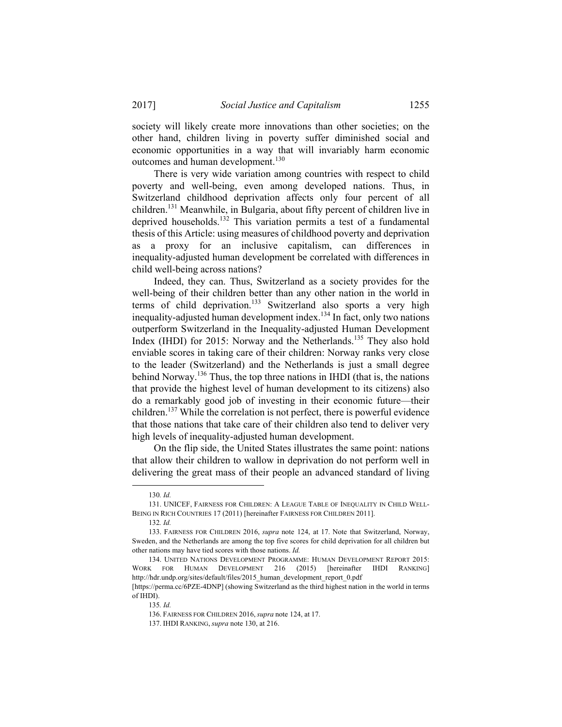society will likely create more innovations than other societies; on the other hand, children living in poverty suffer diminished social and economic opportunities in a way that will invariably harm economic outcomes and human development.<sup>130</sup>

There is very wide variation among countries with respect to child poverty and well-being, even among developed nations. Thus, in Switzerland childhood deprivation affects only four percent of all children.131 Meanwhile, in Bulgaria, about fifty percent of children live in deprived households.<sup>132</sup> This variation permits a test of a fundamental thesis of this Article: using measures of childhood poverty and deprivation as a proxy for an inclusive capitalism, can differences in inequality-adjusted human development be correlated with differences in child well-being across nations?

Indeed, they can. Thus, Switzerland as a society provides for the well-being of their children better than any other nation in the world in terms of child deprivation.<sup>133</sup> Switzerland also sports a very high inequality-adjusted human development index.<sup>134</sup> In fact, only two nations outperform Switzerland in the Inequality-adjusted Human Development Index (IHDI) for 2015: Norway and the Netherlands.<sup>135</sup> They also hold enviable scores in taking care of their children: Norway ranks very close to the leader (Switzerland) and the Netherlands is just a small degree behind Norway.<sup>136</sup> Thus, the top three nations in IHDI (that is, the nations that provide the highest level of human development to its citizens) also do a remarkably good job of investing in their economic future—their children.<sup>137</sup> While the correlation is not perfect, there is powerful evidence that those nations that take care of their children also tend to deliver very high levels of inequality-adjusted human development.

On the flip side, the United States illustrates the same point: nations that allow their children to wallow in deprivation do not perform well in delivering the great mass of their people an advanced standard of living

 <sup>130</sup>*. Id.* 

 <sup>131.</sup> UNICEF, FAIRNESS FOR CHILDREN: A LEAGUE TABLE OF INEQUALITY IN CHILD WELL-BEING IN RICH COUNTRIES 17 (2011) [hereinafter FAIRNESS FOR CHILDREN 2011].

<sup>132</sup>*. Id.*

 <sup>133.</sup> FAIRNESS FOR CHILDREN 2016, *supra* note 124, at 17. Note that Switzerland, Norway, Sweden, and the Netherlands are among the top five scores for child deprivation for all children but other nations may have tied scores with those nations. *Id.*

 <sup>134.</sup> UNITED NATIONS DEVELOPMENT PROGRAMME: HUMAN DEVELOPMENT REPORT 2015: WORK FOR HUMAN DEVELOPMENT 216 (2015) [hereinafter IHDI RANKING] http://hdr.undp.org/sites/default/files/2015\_human\_development\_report\_0.pdf [https://perma.cc/6PZE-4DNP] (showing Switzerland as the third highest nation in the world in terms

of IHDI).

<sup>135</sup>*. Id.*

 <sup>136.</sup> FAIRNESS FOR CHILDREN 2016, *supra* note 124, at 17.

 <sup>137.</sup> IHDI RANKING, *supra* note 130, at 216.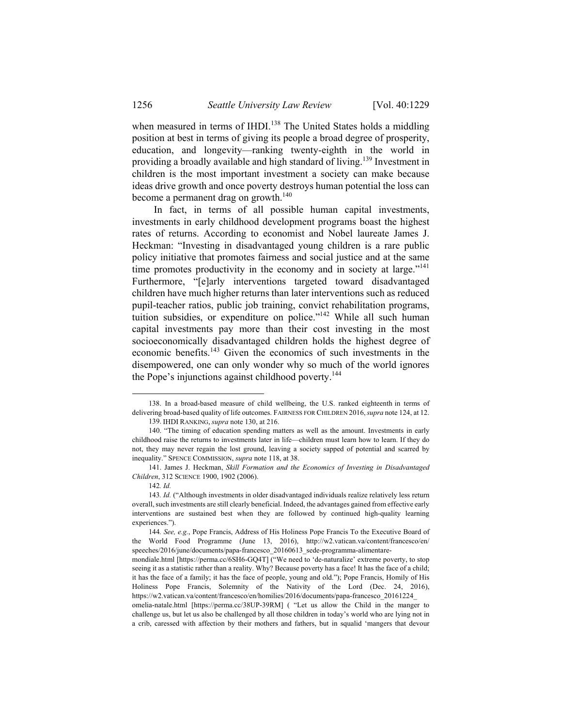when measured in terms of IHDI.<sup>138</sup> The United States holds a middling position at best in terms of giving its people a broad degree of prosperity, education, and longevity—ranking twenty-eighth in the world in providing a broadly available and high standard of living.139 Investment in children is the most important investment a society can make because ideas drive growth and once poverty destroys human potential the loss can become a permanent drag on growth. $140$ 

In fact, in terms of all possible human capital investments, investments in early childhood development programs boast the highest rates of returns. According to economist and Nobel laureate James J. Heckman: "Investing in disadvantaged young children is a rare public policy initiative that promotes fairness and social justice and at the same time promotes productivity in the economy and in society at large."<sup>141</sup> Furthermore, "[e]arly interventions targeted toward disadvantaged children have much higher returns than later interventions such as reduced pupil-teacher ratios, public job training, convict rehabilitation programs, tuition subsidies, or expenditure on police."<sup>142</sup> While all such human capital investments pay more than their cost investing in the most socioeconomically disadvantaged children holds the highest degree of economic benefits.143 Given the economics of such investments in the disempowered, one can only wonder why so much of the world ignores the Pope's injunctions against childhood poverty.<sup>144</sup>

 <sup>138.</sup> In a broad-based measure of child wellbeing, the U.S. ranked eighteenth in terms of delivering broad-based quality of life outcomes. FAIRNESS FOR CHILDREN 2016,*supra* note 124, at 12.

 <sup>139.</sup> IHDI RANKING, *supra* note 130, at 216.

 <sup>140. &</sup>quot;The timing of education spending matters as well as the amount. Investments in early childhood raise the returns to investments later in life—children must learn how to learn. If they do not, they may never regain the lost ground, leaving a society sapped of potential and scarred by inequality." SPENCE COMMISSION, *supra* note 118, at 38.

 <sup>141.</sup> James J. Heckman, *Skill Formation and the Economics of Investing in Disadvantaged Children*, 312 SCIENCE 1900, 1902 (2006).

<sup>142</sup>*. Id.*

<sup>143</sup>*. Id.* ("Although investments in older disadvantaged individuals realize relatively less return overall, such investments are still clearly beneficial. Indeed, the advantages gained from effective early interventions are sustained best when they are followed by continued high-quality learning experiences.").

<sup>144</sup>*. See, e.g.*, Pope Francis, Address of His Holiness Pope Francis To the Executive Board of World Food Programme (June 13, 2016), http://w2.vatican.va/content/francesco/en/ speeches/2016/june/documents/papa-francesco\_20160613\_sede-programma-alimentare-

mondiale.html [https://perma.cc/6SH6-GQ4T] ("We need to 'de-naturalize' extreme poverty, to stop seeing it as a statistic rather than a reality. Why? Because poverty has a face! It has the face of a child; it has the face of a family; it has the face of people, young and old."); Pope Francis, Homily of His Holiness Pope Francis, Solemnity of the Nativity of the Lord (Dec. 24, 2016), https://w2.vatican.va/content/francesco/en/homilies/2016/documents/papa-francesco\_20161224\_

omelia-natale.html [https://perma.cc/38UP-39RM] ( "Let us allow the Child in the manger to challenge us, but let us also be challenged by all those children in today's world who are lying not in a crib, caressed with affection by their mothers and fathers, but in squalid 'mangers that devour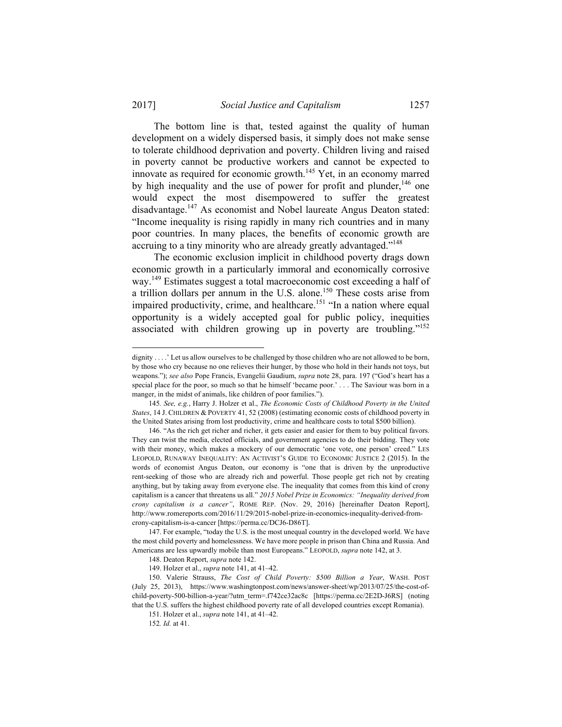1

The bottom line is that, tested against the quality of human development on a widely dispersed basis, it simply does not make sense to tolerate childhood deprivation and poverty. Children living and raised in poverty cannot be productive workers and cannot be expected to innovate as required for economic growth.<sup>145</sup> Yet, in an economy marred by high inequality and the use of power for profit and plunder,  $146$  one would expect the most disempowered to suffer the greatest disadvantage.<sup>147</sup> As economist and Nobel laureate Angus Deaton stated: "Income inequality is rising rapidly in many rich countries and in many poor countries. In many places, the benefits of economic growth are accruing to a tiny minority who are already greatly advantaged."<sup>148</sup>

The economic exclusion implicit in childhood poverty drags down economic growth in a particularly immoral and economically corrosive way.149 Estimates suggest a total macroeconomic cost exceeding a half of a trillion dollars per annum in the U.S. alone.<sup>150</sup> These costs arise from impaired productivity, crime, and healthcare.<sup>151</sup> "In a nation where equal opportunity is a widely accepted goal for public policy, inequities associated with children growing up in poverty are troubling."152

dignity . . . .' Let us allow ourselves to be challenged by those children who are not allowed to be born, by those who cry because no one relieves their hunger, by those who hold in their hands not toys, but weapons."); *see also* Pope Francis, Evangelii Gaudium, *supra* note 28, para. 197 ("God's heart has a special place for the poor, so much so that he himself 'became poor.' . . . The Saviour was born in a manger, in the midst of animals, like children of poor families.").

<sup>145</sup>*. See, e.g.*, Harry J. Holzer et al., *The Economic Costs of Childhood Poverty in the United States*, 14 J. CHILDREN & POVERTY 41, 52 (2008) (estimating economic costs of childhood poverty in the United States arising from lost productivity, crime and healthcare costs to total \$500 billion).

 <sup>146. &</sup>quot;As the rich get richer and richer, it gets easier and easier for them to buy political favors. They can twist the media, elected officials, and government agencies to do their bidding. They vote with their money, which makes a mockery of our democratic 'one vote, one person' creed." LES LEOPOLD, RUNAWAY INEQUALITY: AN ACTIVIST'S GUIDE TO ECONOMIC JUSTICE 2 (2015). In the words of economist Angus Deaton, our economy is "one that is driven by the unproductive rent-seeking of those who are already rich and powerful. Those people get rich not by creating anything, but by taking away from everyone else. The inequality that comes from this kind of crony capitalism is a cancer that threatens us all." *2015 Nobel Prize in Economics: "Inequality derived from crony capitalism is a cancer"*, ROME REP. (Nov. 29, 2016) [hereinafter Deaton Report], http://www.romereports.com/2016/11/29/2015-nobel-prize-in-economics-inequality-derived-fromcrony-capitalism-is-a-cancer [https://perma.cc/DCJ6-D86T]**.**

 <sup>147.</sup> For example, "today the U.S. is the most unequal country in the developed world. We have the most child poverty and homelessness. We have more people in prison than China and Russia. And Americans are less upwardly mobile than most Europeans." LEOPOLD, *supra* note 142, at 3.

 <sup>148.</sup> Deaton Report, *supra* note 142.

 <sup>149.</sup> Holzer et al., *supra* note 141, at 41–42.

 <sup>150.</sup> Valerie Strauss, *The Cost of Child Poverty: \$500 Billion a Year*, WASH. POST (July 25, 2013), https://www.washingtonpost.com/news/answer-sheet/wp/2013/07/25/the-cost-ofchild-poverty-500-billion-a-year/?utm\_term=.f742ce32ac8c [https://perma.cc/2E2D-J6RS] (noting that the U.S. suffers the highest childhood poverty rate of all developed countries except Romania).

 <sup>151.</sup> Holzer et al., *supra* note 141, at 41–42.

<sup>152</sup>*. Id.* at 41.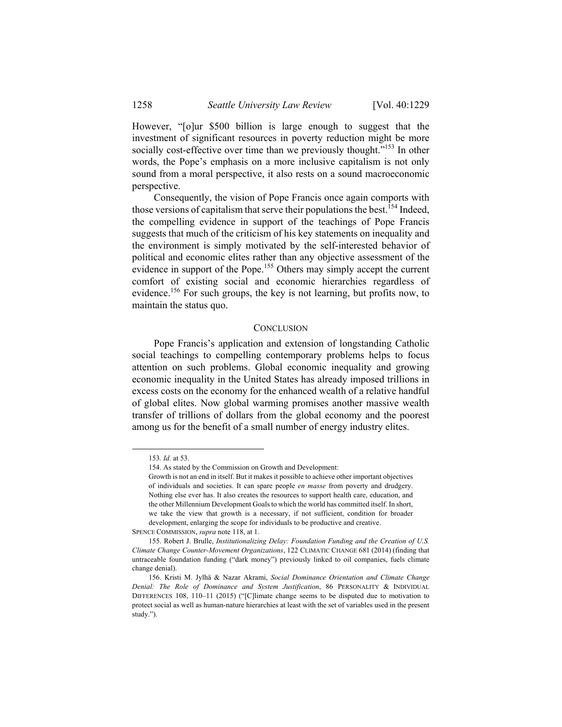However, "[o]ur \$500 billion is large enough to suggest that the investment of significant resources in poverty reduction might be more socially cost-effective over time than we previously thought."<sup>153</sup> In other words, the Pope's emphasis on a more inclusive capitalism is not only sound from a moral perspective, it also rests on a sound macroeconomic perspective.

Consequently, the vision of Pope Francis once again comports with those versions of capitalism that serve their populations the best.<sup>154</sup> Indeed, the compelling evidence in support of the teachings of Pope Francis suggests that much of the criticism of his key statements on inequality and the environment is simply motivated by the self-interested behavior of political and economic elites rather than any objective assessment of the evidence in support of the Pope.<sup>155</sup> Others may simply accept the current comfort of existing social and economic hierarchies regardless of evidence.<sup>156</sup> For such groups, the key is not learning, but profits now, to maintain the status quo.

#### **CONCLUSION**

Pope Francis's application and extension of longstanding Catholic social teachings to compelling contemporary problems helps to focus attention on such problems. Global economic inequality and growing economic inequality in the United States has already imposed trillions in excess costs on the economy for the enhanced wealth of a relative handful of global elites. Now global warming promises another massive wealth transfer of trillions of dollars from the global economy and the poorest among us for the benefit of a small number of energy industry elites.

 <sup>153</sup>*. Id.* at 53.

 <sup>154.</sup> As stated by the Commission on Growth and Development:

Growth is not an end in itself. But it makes it possible to achieve other important objectives of individuals and societies. It can spare people *en masse* from poverty and drudgery. Nothing else ever has. It also creates the resources to support health care, education, and the other Millennium Development Goals to which the world has committed itself. In short, we take the view that growth is a necessary, if not sufficient, condition for broader development, enlarging the scope for individuals to be productive and creative.

SPENCE COMMISSION, *supra* note 118, at 1.

 <sup>155.</sup> Robert J. Brulle, *Institutionalizing Delay: Foundation Funding and the Creation of U.S. Climate Change Counter-Movement Organizations*, 122 CLIMATIC CHANGE 681 (2014) (finding that untraceable foundation funding ("dark money") previously linked to oil companies, fuels climate change denial).

 <sup>156.</sup> Kristi M. Jylhä & Nazar Akrami, *Social Dominance Orientation and Climate Change Denial: The Role of Dominance and System Justification*, 86 PERSONALITY & INDIVIDUAL DIFFERENCES 108, 110–11 (2015) ("[C]limate change seems to be disputed due to motivation to protect social as well as human-nature hierarchies at least with the set of variables used in the present study.").